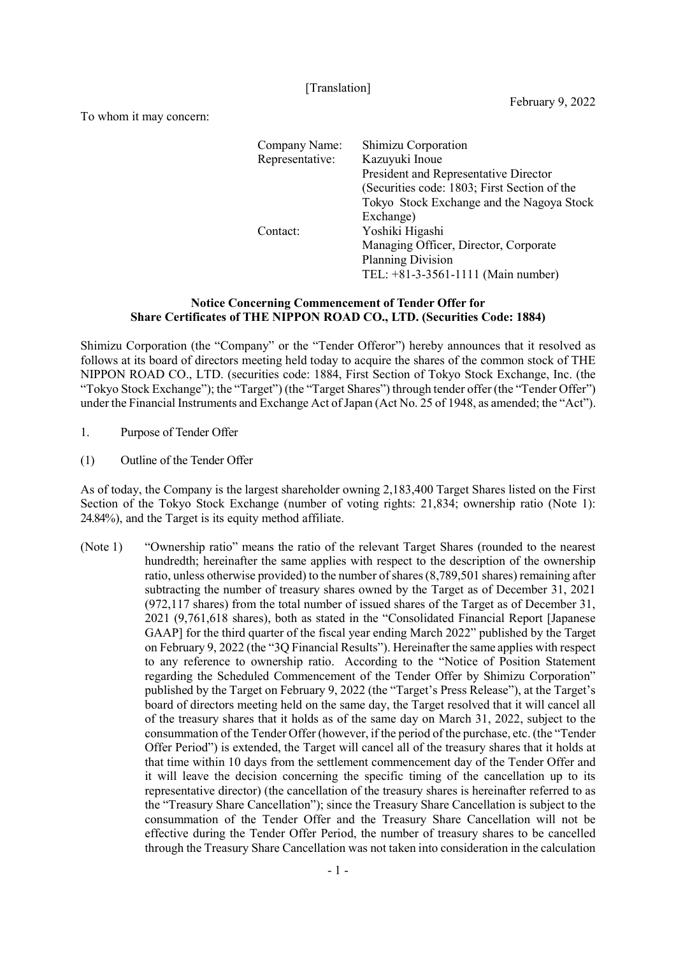## [Translation]

To whom it may concern:

| Company Name:   | Shimizu Corporation                          |
|-----------------|----------------------------------------------|
| Representative: | Kazuyuki Inoue                               |
|                 | President and Representative Director        |
|                 | (Securities code: 1803; First Section of the |
|                 | Tokyo Stock Exchange and the Nagoya Stock    |
|                 | Exchange)                                    |
| Contact:        | Yoshiki Higashi                              |
|                 | Managing Officer, Director, Corporate        |
|                 | <b>Planning Division</b>                     |
|                 | TEL: +81-3-3561-1111 (Main number)           |

# Notice Concerning Commencement of Tender Offer for Share Certificates of THE NIPPON ROAD CO., LTD. (Securities Code: 1884)

Shimizu Corporation (the "Company" or the "Tender Offeror") hereby announces that it resolved as follows at its board of directors meeting held today to acquire the shares of the common stock of THE NIPPON ROAD CO., LTD. (securities code: 1884, First Section of Tokyo Stock Exchange, Inc. (the "Tokyo Stock Exchange"); the "Target") (the "Target Shares") through tender offer (the "Tender Offer") under the Financial Instruments and Exchange Act of Japan (Act No. 25 of 1948, as amended; the "Act").

- 1. Purpose of Tender Offer
- (1) Outline of the Tender Offer

As of today, the Company is the largest shareholder owning 2,183,400 Target Shares listed on the First Section of the Tokyo Stock Exchange (number of voting rights: 21,834; ownership ratio (Note 1): 24.84%), and the Target is its equity method affiliate.

(Note 1) "Ownership ratio" means the ratio of the relevant Target Shares (rounded to the nearest hundredth; hereinafter the same applies with respect to the description of the ownership ratio, unless otherwise provided) to the number of shares (8,789,501 shares) remaining after subtracting the number of treasury shares owned by the Target as of December 31, 2021 (972,117 shares) from the total number of issued shares of the Target as of December 31, 2021 (9,761,618 shares), both as stated in the "Consolidated Financial Report [Japanese GAAP] for the third quarter of the fiscal year ending March 2022" published by the Target on February 9, 2022 (the "3Q Financial Results"). Hereinafter the same applies with respect to any reference to ownership ratio. According to the "Notice of Position Statement regarding the Scheduled Commencement of the Tender Offer by Shimizu Corporation" published by the Target on February 9, 2022 (the "Target's Press Release"), at the Target's board of directors meeting held on the same day, the Target resolved that it will cancel all of the treasury shares that it holds as of the same day on March 31, 2022, subject to the consummation of the Tender Offer (however, if the period of the purchase, etc. (the "Tender Offer Period") is extended, the Target will cancel all of the treasury shares that it holds at that time within 10 days from the settlement commencement day of the Tender Offer and it will leave the decision concerning the specific timing of the cancellation up to its representative director) (the cancellation of the treasury shares is hereinafter referred to as the "Treasury Share Cancellation"); since the Treasury Share Cancellation is subject to the consummation of the Tender Offer and the Treasury Share Cancellation will not be effective during the Tender Offer Period, the number of treasury shares to be cancelled through the Treasury Share Cancellation was not taken into consideration in the calculation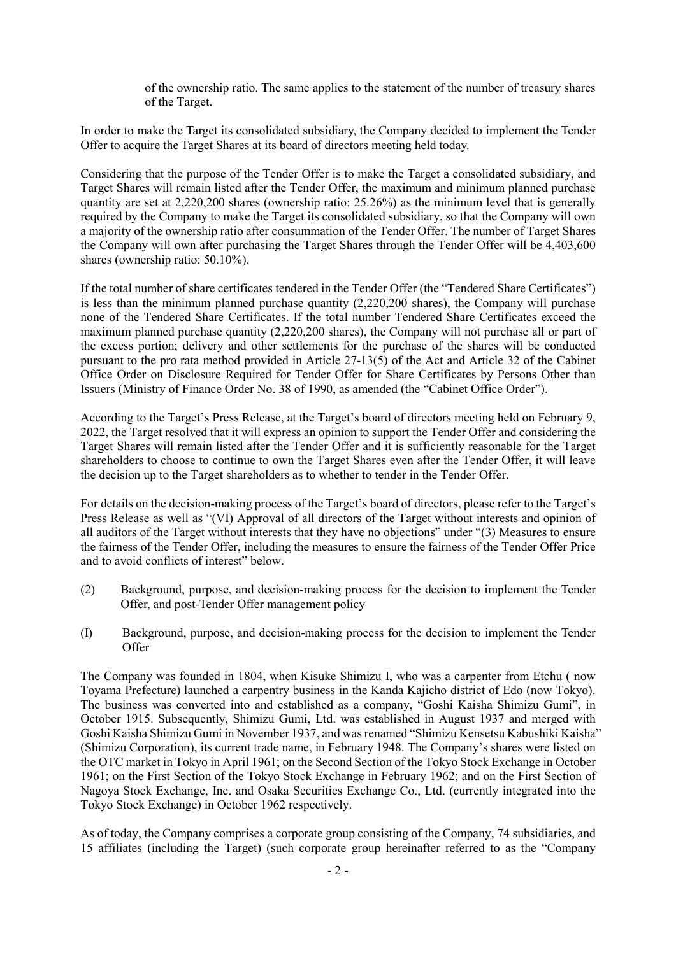of the ownership ratio. The same applies to the statement of the number of treasury shares of the Target.

In order to make the Target its consolidated subsidiary, the Company decided to implement the Tender Offer to acquire the Target Shares at its board of directors meeting held today.

Considering that the purpose of the Tender Offer is to make the Target a consolidated subsidiary, and Target Shares will remain listed after the Tender Offer, the maximum and minimum planned purchase quantity are set at 2,220,200 shares (ownership ratio: 25.26%) as the minimum level that is generally required by the Company to make the Target its consolidated subsidiary, so that the Company will own a majority of the ownership ratio after consummation of the Tender Offer. The number of Target Shares the Company will own after purchasing the Target Shares through the Tender Offer will be 4,403,600 shares (ownership ratio: 50.10%).

If the total number of share certificates tendered in the Tender Offer (the "Tendered Share Certificates") is less than the minimum planned purchase quantity (2,220,200 shares), the Company will purchase none of the Tendered Share Certificates. If the total number Tendered Share Certificates exceed the maximum planned purchase quantity (2,220,200 shares), the Company will not purchase all or part of the excess portion; delivery and other settlements for the purchase of the shares will be conducted pursuant to the pro rata method provided in Article 27-13(5) of the Act and Article 32 of the Cabinet Office Order on Disclosure Required for Tender Offer for Share Certificates by Persons Other than Issuers (Ministry of Finance Order No. 38 of 1990, as amended (the "Cabinet Office Order").

According to the Target's Press Release, at the Target's board of directors meeting held on February 9, 2022, the Target resolved that it will express an opinion to support the Tender Offer and considering the Target Shares will remain listed after the Tender Offer and it is sufficiently reasonable for the Target shareholders to choose to continue to own the Target Shares even after the Tender Offer, it will leave the decision up to the Target shareholders as to whether to tender in the Tender Offer.

For details on the decision-making process of the Target's board of directors, please refer to the Target's Press Release as well as "(VI) Approval of all directors of the Target without interests and opinion of all auditors of the Target without interests that they have no objections" under "(3) Measures to ensure the fairness of the Tender Offer, including the measures to ensure the fairness of the Tender Offer Price and to avoid conflicts of interest" below.

- (2) Background, purpose, and decision-making process for the decision to implement the Tender Offer, and post-Tender Offer management policy
- (I) Background, purpose, and decision-making process for the decision to implement the Tender Offer

The Company was founded in 1804, when Kisuke Shimizu I, who was a carpenter from Etchu ( now Toyama Prefecture) launched a carpentry business in the Kanda Kajicho district of Edo (now Tokyo). The business was converted into and established as a company, "Goshi Kaisha Shimizu Gumi", in October 1915. Subsequently, Shimizu Gumi, Ltd. was established in August 1937 and merged with Goshi Kaisha Shimizu Gumi in November 1937, and was renamed "Shimizu Kensetsu Kabushiki Kaisha" (Shimizu Corporation), its current trade name, in February 1948. The Company's shares were listed on the OTC market in Tokyo in April 1961; on the Second Section of the Tokyo Stock Exchange in October 1961; on the First Section of the Tokyo Stock Exchange in February 1962; and on the First Section of Nagoya Stock Exchange, Inc. and Osaka Securities Exchange Co., Ltd. (currently integrated into the Tokyo Stock Exchange) in October 1962 respectively.

As of today, the Company comprises a corporate group consisting of the Company, 74 subsidiaries, and 15 affiliates (including the Target) (such corporate group hereinafter referred to as the "Company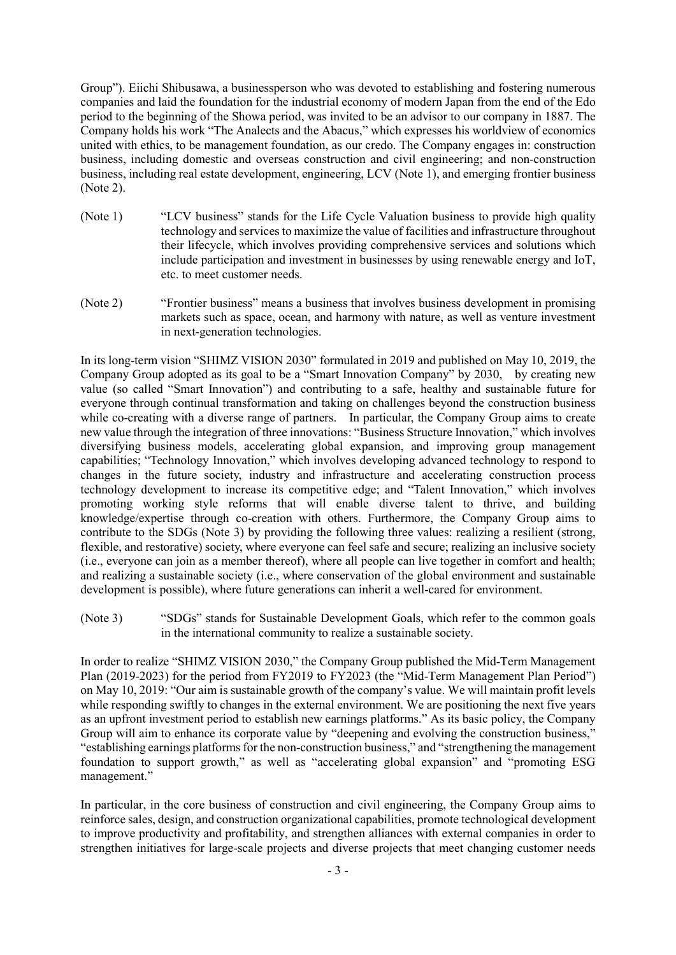Group"). Eiichi Shibusawa, a businessperson who was devoted to establishing and fostering numerous companies and laid the foundation for the industrial economy of modern Japan from the end of the Edo period to the beginning of the Showa period, was invited to be an advisor to our company in 1887. The Company holds his work "The Analects and the Abacus," which expresses his worldview of economics united with ethics, to be management foundation, as our credo. The Company engages in: construction business, including domestic and overseas construction and civil engineering; and non-construction business, including real estate development, engineering, LCV (Note 1), and emerging frontier business (Note 2).

- (Note 1) "LCV business" stands for the Life Cycle Valuation business to provide high quality technology and services to maximize the value of facilities and infrastructure throughout their lifecycle, which involves providing comprehensive services and solutions which include participation and investment in businesses by using renewable energy and IoT, etc. to meet customer needs.
- (Note 2) "Frontier business" means a business that involves business development in promising markets such as space, ocean, and harmony with nature, as well as venture investment in next-generation technologies.

In its long-term vision "SHIMZ VISION 2030" formulated in 2019 and published on May 10, 2019, the Company Group adopted as its goal to be a "Smart Innovation Company" by 2030, by creating new value (so called "Smart Innovation") and contributing to a safe, healthy and sustainable future for everyone through continual transformation and taking on challenges beyond the construction business while co-creating with a diverse range of partners. In particular, the Company Group aims to create new value through the integration of three innovations: "Business Structure Innovation," which involves diversifying business models, accelerating global expansion, and improving group management capabilities; "Technology Innovation," which involves developing advanced technology to respond to changes in the future society, industry and infrastructure and accelerating construction process technology development to increase its competitive edge; and "Talent Innovation," which involves promoting working style reforms that will enable diverse talent to thrive, and building knowledge/expertise through co-creation with others. Furthermore, the Company Group aims to contribute to the SDGs (Note 3) by providing the following three values: realizing a resilient (strong, flexible, and restorative) society, where everyone can feel safe and secure; realizing an inclusive society (i.e., everyone can join as a member thereof), where all people can live together in comfort and health; and realizing a sustainable society (i.e., where conservation of the global environment and sustainable development is possible), where future generations can inherit a well-cared for environment.

(Note 3) "SDGs" stands for Sustainable Development Goals, which refer to the common goals in the international community to realize a sustainable society.

In order to realize "SHIMZ VISION 2030," the Company Group published the Mid-Term Management Plan (2019-2023) for the period from FY2019 to FY2023 (the "Mid-Term Management Plan Period") on May 10, 2019: "Our aim is sustainable growth of the company's value. We will maintain profit levels while responding swiftly to changes in the external environment. We are positioning the next five years as an upfront investment period to establish new earnings platforms." As its basic policy, the Company Group will aim to enhance its corporate value by "deepening and evolving the construction business," "establishing earnings platforms for the non-construction business," and "strengthening the management foundation to support growth," as well as "accelerating global expansion" and "promoting ESG management."

In particular, in the core business of construction and civil engineering, the Company Group aims to reinforce sales, design, and construction organizational capabilities, promote technological development to improve productivity and profitability, and strengthen alliances with external companies in order to strengthen initiatives for large-scale projects and diverse projects that meet changing customer needs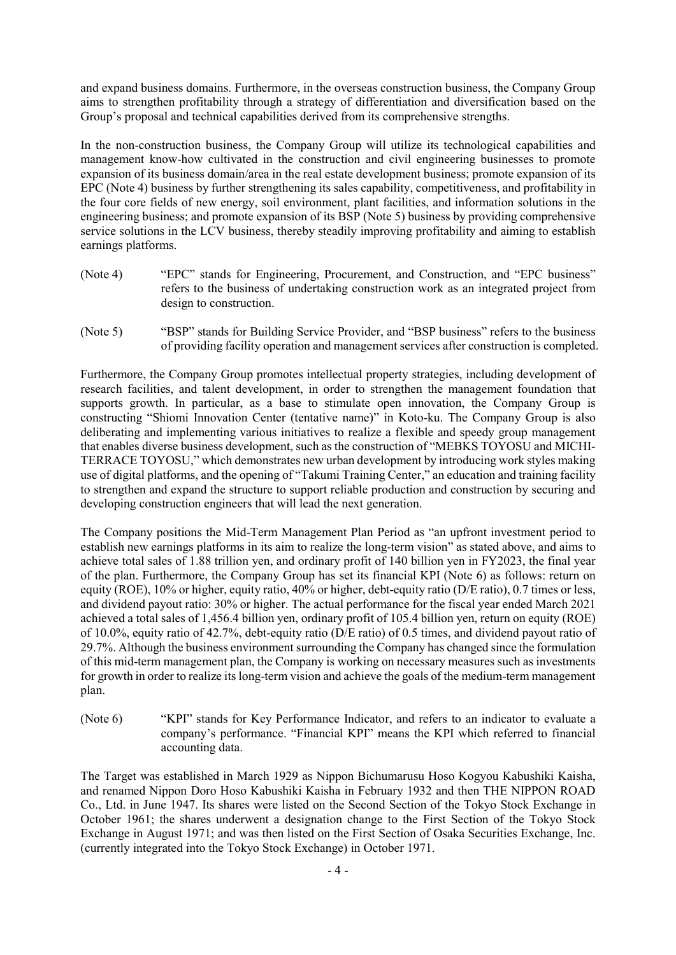and expand business domains. Furthermore, in the overseas construction business, the Company Group aims to strengthen profitability through a strategy of differentiation and diversification based on the Group's proposal and technical capabilities derived from its comprehensive strengths.

In the non-construction business, the Company Group will utilize its technological capabilities and management know-how cultivated in the construction and civil engineering businesses to promote expansion of its business domain/area in the real estate development business; promote expansion of its EPC (Note 4) business by further strengthening its sales capability, competitiveness, and profitability in the four core fields of new energy, soil environment, plant facilities, and information solutions in the engineering business; and promote expansion of its BSP (Note 5) business by providing comprehensive service solutions in the LCV business, thereby steadily improving profitability and aiming to establish earnings platforms.

- (Note 4) "EPC" stands for Engineering, Procurement, and Construction, and "EPC business" refers to the business of undertaking construction work as an integrated project from design to construction.
- (Note 5) "BSP" stands for Building Service Provider, and "BSP business" refers to the business of providing facility operation and management services after construction is completed.

Furthermore, the Company Group promotes intellectual property strategies, including development of research facilities, and talent development, in order to strengthen the management foundation that supports growth. In particular, as a base to stimulate open innovation, the Company Group is constructing "Shiomi Innovation Center (tentative name)" in Koto-ku. The Company Group is also deliberating and implementing various initiatives to realize a flexible and speedy group management that enables diverse business development, such as the construction of "MEBKS TOYOSU and MICHI-TERRACE TOYOSU," which demonstrates new urban development by introducing work styles making use of digital platforms, and the opening of "Takumi Training Center," an education and training facility to strengthen and expand the structure to support reliable production and construction by securing and developing construction engineers that will lead the next generation.

The Company positions the Mid-Term Management Plan Period as "an upfront investment period to establish new earnings platforms in its aim to realize the long-term vision" as stated above, and aims to achieve total sales of 1.88 trillion yen, and ordinary profit of 140 billion yen in FY2023, the final year of the plan. Furthermore, the Company Group has set its financial KPI (Note 6) as follows: return on equity (ROE), 10% or higher, equity ratio, 40% or higher, debt-equity ratio (D/E ratio), 0.7 times or less, and dividend payout ratio: 30% or higher. The actual performance for the fiscal year ended March 2021 achieved a total sales of 1,456.4 billion yen, ordinary profit of 105.4 billion yen, return on equity (ROE) of 10.0%, equity ratio of 42.7%, debt-equity ratio (D/E ratio) of 0.5 times, and dividend payout ratio of 29.7%. Although the business environment surrounding the Company has changed since the formulation of this mid-term management plan, the Company is working on necessary measures such as investments for growth in order to realize its long-term vision and achieve the goals of the medium-term management plan.

(Note 6) "KPI" stands for Key Performance Indicator, and refers to an indicator to evaluate a company's performance. "Financial KPI" means the KPI which referred to financial accounting data.

The Target was established in March 1929 as Nippon Bichumarusu Hoso Kogyou Kabushiki Kaisha, and renamed Nippon Doro Hoso Kabushiki Kaisha in February 1932 and then THE NIPPON ROAD Co., Ltd. in June 1947. Its shares were listed on the Second Section of the Tokyo Stock Exchange in October 1961; the shares underwent a designation change to the First Section of the Tokyo Stock Exchange in August 1971; and was then listed on the First Section of Osaka Securities Exchange, Inc. (currently integrated into the Tokyo Stock Exchange) in October 1971.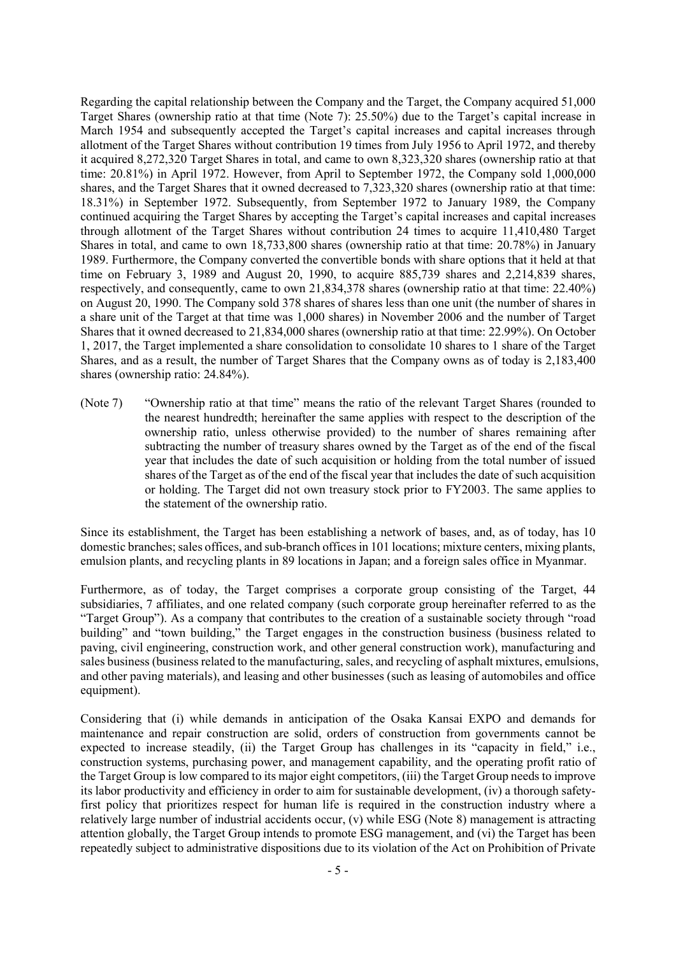Regarding the capital relationship between the Company and the Target, the Company acquired 51,000 Target Shares (ownership ratio at that time (Note 7): 25.50%) due to the Target's capital increase in March 1954 and subsequently accepted the Target's capital increases and capital increases through allotment of the Target Shares without contribution 19 times from July 1956 to April 1972, and thereby it acquired 8,272,320 Target Shares in total, and came to own 8,323,320 shares (ownership ratio at that time: 20.81%) in April 1972. However, from April to September 1972, the Company sold 1,000,000 shares, and the Target Shares that it owned decreased to 7,323,320 shares (ownership ratio at that time: 18.31%) in September 1972. Subsequently, from September 1972 to January 1989, the Company continued acquiring the Target Shares by accepting the Target's capital increases and capital increases through allotment of the Target Shares without contribution 24 times to acquire 11,410,480 Target Shares in total, and came to own 18,733,800 shares (ownership ratio at that time: 20.78%) in January 1989. Furthermore, the Company converted the convertible bonds with share options that it held at that time on February 3, 1989 and August 20, 1990, to acquire 885,739 shares and 2,214,839 shares, respectively, and consequently, came to own 21,834,378 shares (ownership ratio at that time: 22.40%) on August 20, 1990. The Company sold 378 shares of shares less than one unit (the number of shares in a share unit of the Target at that time was 1,000 shares) in November 2006 and the number of Target Shares that it owned decreased to 21,834,000 shares (ownership ratio at that time: 22.99%). On October 1, 2017, the Target implemented a share consolidation to consolidate 10 shares to 1 share of the Target Shares, and as a result, the number of Target Shares that the Company owns as of today is 2,183,400 shares (ownership ratio: 24.84%).

(Note 7) "Ownership ratio at that time" means the ratio of the relevant Target Shares (rounded to the nearest hundredth; hereinafter the same applies with respect to the description of the ownership ratio, unless otherwise provided) to the number of shares remaining after subtracting the number of treasury shares owned by the Target as of the end of the fiscal year that includes the date of such acquisition or holding from the total number of issued shares of the Target as of the end of the fiscal year that includes the date of such acquisition or holding. The Target did not own treasury stock prior to FY2003. The same applies to the statement of the ownership ratio.

Since its establishment, the Target has been establishing a network of bases, and, as of today, has 10 domestic branches; sales offices, and sub-branch offices in 101 locations; mixture centers, mixing plants, emulsion plants, and recycling plants in 89 locations in Japan; and a foreign sales office in Myanmar.

Furthermore, as of today, the Target comprises a corporate group consisting of the Target, 44 subsidiaries, 7 affiliates, and one related company (such corporate group hereinafter referred to as the "Target Group"). As a company that contributes to the creation of a sustainable society through "road building" and "town building," the Target engages in the construction business (business related to paving, civil engineering, construction work, and other general construction work), manufacturing and sales business (business related to the manufacturing, sales, and recycling of asphalt mixtures, emulsions, and other paving materials), and leasing and other businesses (such as leasing of automobiles and office equipment).

Considering that (i) while demands in anticipation of the Osaka Kansai EXPO and demands for maintenance and repair construction are solid, orders of construction from governments cannot be expected to increase steadily, (ii) the Target Group has challenges in its "capacity in field," i.e., construction systems, purchasing power, and management capability, and the operating profit ratio of the Target Group is low compared to its major eight competitors, (iii) the Target Group needs to improve its labor productivity and efficiency in order to aim for sustainable development, (iv) a thorough safetyfirst policy that prioritizes respect for human life is required in the construction industry where a relatively large number of industrial accidents occur, (v) while ESG (Note 8) management is attracting attention globally, the Target Group intends to promote ESG management, and (vi) the Target has been repeatedly subject to administrative dispositions due to its violation of the Act on Prohibition of Private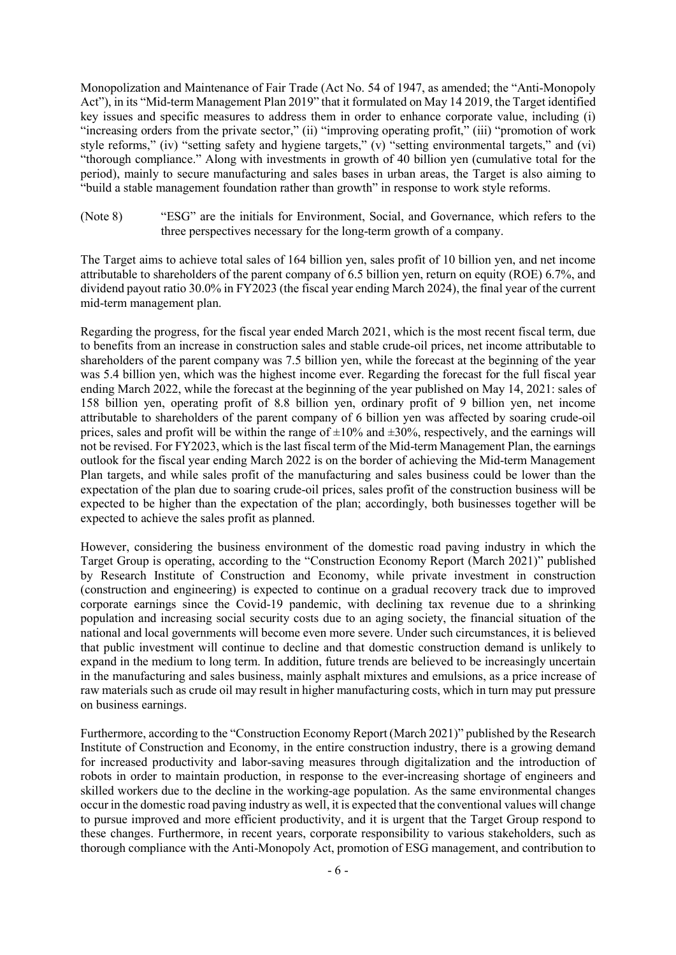Monopolization and Maintenance of Fair Trade (Act No. 54 of 1947, as amended; the "Anti-Monopoly Act"), in its "Mid-term Management Plan 2019" that it formulated on May 14 2019, the Target identified key issues and specific measures to address them in order to enhance corporate value, including (i) "increasing orders from the private sector," (ii) "improving operating profit," (iii) "promotion of work style reforms," (iv) "setting safety and hygiene targets," (v) "setting environmental targets," and (vi) "thorough compliance." Along with investments in growth of 40 billion yen (cumulative total for the period), mainly to secure manufacturing and sales bases in urban areas, the Target is also aiming to "build a stable management foundation rather than growth" in response to work style reforms.

(Note 8) "ESG" are the initials for Environment, Social, and Governance, which refers to the three perspectives necessary for the long-term growth of a company.

The Target aims to achieve total sales of 164 billion yen, sales profit of 10 billion yen, and net income attributable to shareholders of the parent company of 6.5 billion yen, return on equity (ROE) 6.7%, and dividend payout ratio 30.0% in FY2023 (the fiscal year ending March 2024), the final year of the current mid-term management plan.

Regarding the progress, for the fiscal year ended March 2021, which is the most recent fiscal term, due to benefits from an increase in construction sales and stable crude-oil prices, net income attributable to shareholders of the parent company was 7.5 billion yen, while the forecast at the beginning of the year was 5.4 billion yen, which was the highest income ever. Regarding the forecast for the full fiscal year ending March 2022, while the forecast at the beginning of the year published on May 14, 2021: sales of 158 billion yen, operating profit of 8.8 billion yen, ordinary profit of 9 billion yen, net income attributable to shareholders of the parent company of 6 billion yen was affected by soaring crude-oil prices, sales and profit will be within the range of  $\pm 10\%$  and  $\pm 30\%$ , respectively, and the earnings will not be revised. For FY2023, which is the last fiscal term of the Mid-term Management Plan, the earnings outlook for the fiscal year ending March 2022 is on the border of achieving the Mid-term Management Plan targets, and while sales profit of the manufacturing and sales business could be lower than the expectation of the plan due to soaring crude-oil prices, sales profit of the construction business will be expected to be higher than the expectation of the plan; accordingly, both businesses together will be expected to achieve the sales profit as planned.

However, considering the business environment of the domestic road paving industry in which the Target Group is operating, according to the "Construction Economy Report (March 2021)" published by Research Institute of Construction and Economy, while private investment in construction (construction and engineering) is expected to continue on a gradual recovery track due to improved corporate earnings since the Covid-19 pandemic, with declining tax revenue due to a shrinking population and increasing social security costs due to an aging society, the financial situation of the national and local governments will become even more severe. Under such circumstances, it is believed that public investment will continue to decline and that domestic construction demand is unlikely to expand in the medium to long term. In addition, future trends are believed to be increasingly uncertain in the manufacturing and sales business, mainly asphalt mixtures and emulsions, as a price increase of raw materials such as crude oil may result in higher manufacturing costs, which in turn may put pressure on business earnings.

Furthermore, according to the "Construction Economy Report (March 2021)" published by the Research Institute of Construction and Economy, in the entire construction industry, there is a growing demand for increased productivity and labor-saving measures through digitalization and the introduction of robots in order to maintain production, in response to the ever-increasing shortage of engineers and skilled workers due to the decline in the working-age population. As the same environmental changes occur in the domestic road paving industry as well, it is expected that the conventional values will change to pursue improved and more efficient productivity, and it is urgent that the Target Group respond to these changes. Furthermore, in recent years, corporate responsibility to various stakeholders, such as thorough compliance with the Anti-Monopoly Act, promotion of ESG management, and contribution to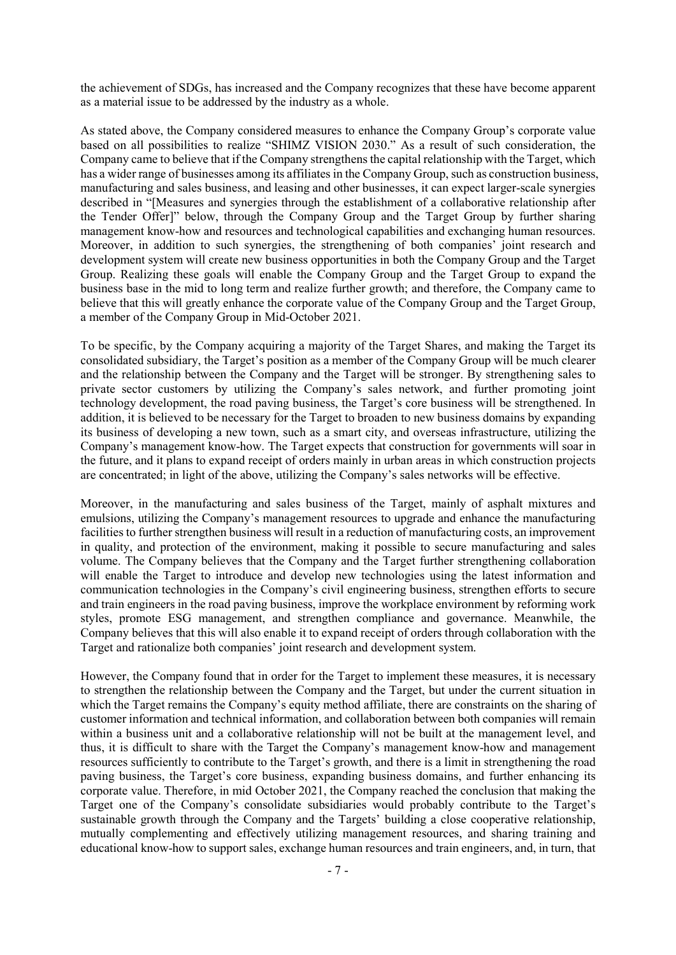the achievement of SDGs, has increased and the Company recognizes that these have become apparent as a material issue to be addressed by the industry as a whole.

As stated above, the Company considered measures to enhance the Company Group's corporate value based on all possibilities to realize "SHIMZ VISION 2030." As a result of such consideration, the Company came to believe that if the Company strengthens the capital relationship with the Target, which has a wider range of businesses among its affiliates in the Company Group, such as construction business, manufacturing and sales business, and leasing and other businesses, it can expect larger-scale synergies described in "[Measures and synergies through the establishment of a collaborative relationship after the Tender Offer]" below, through the Company Group and the Target Group by further sharing management know-how and resources and technological capabilities and exchanging human resources. Moreover, in addition to such synergies, the strengthening of both companies' joint research and development system will create new business opportunities in both the Company Group and the Target Group. Realizing these goals will enable the Company Group and the Target Group to expand the business base in the mid to long term and realize further growth; and therefore, the Company came to believe that this will greatly enhance the corporate value of the Company Group and the Target Group, a member of the Company Group in Mid-October 2021.

To be specific, by the Company acquiring a majority of the Target Shares, and making the Target its consolidated subsidiary, the Target's position as a member of the Company Group will be much clearer and the relationship between the Company and the Target will be stronger. By strengthening sales to private sector customers by utilizing the Company's sales network, and further promoting joint technology development, the road paving business, the Target's core business will be strengthened. In addition, it is believed to be necessary for the Target to broaden to new business domains by expanding its business of developing a new town, such as a smart city, and overseas infrastructure, utilizing the Company's management know-how. The Target expects that construction for governments will soar in the future, and it plans to expand receipt of orders mainly in urban areas in which construction projects are concentrated; in light of the above, utilizing the Company's sales networks will be effective.

Moreover, in the manufacturing and sales business of the Target, mainly of asphalt mixtures and emulsions, utilizing the Company's management resources to upgrade and enhance the manufacturing facilities to further strengthen business will result in a reduction of manufacturing costs, an improvement in quality, and protection of the environment, making it possible to secure manufacturing and sales volume. The Company believes that the Company and the Target further strengthening collaboration will enable the Target to introduce and develop new technologies using the latest information and communication technologies in the Company's civil engineering business, strengthen efforts to secure and train engineers in the road paving business, improve the workplace environment by reforming work styles, promote ESG management, and strengthen compliance and governance. Meanwhile, the Company believes that this will also enable it to expand receipt of orders through collaboration with the Target and rationalize both companies' joint research and development system.

However, the Company found that in order for the Target to implement these measures, it is necessary to strengthen the relationship between the Company and the Target, but under the current situation in which the Target remains the Company's equity method affiliate, there are constraints on the sharing of customer information and technical information, and collaboration between both companies will remain within a business unit and a collaborative relationship will not be built at the management level, and thus, it is difficult to share with the Target the Company's management know-how and management resources sufficiently to contribute to the Target's growth, and there is a limit in strengthening the road paving business, the Target's core business, expanding business domains, and further enhancing its corporate value. Therefore, in mid October 2021, the Company reached the conclusion that making the Target one of the Company's consolidate subsidiaries would probably contribute to the Target's sustainable growth through the Company and the Targets' building a close cooperative relationship, mutually complementing and effectively utilizing management resources, and sharing training and educational know-how to support sales, exchange human resources and train engineers, and, in turn, that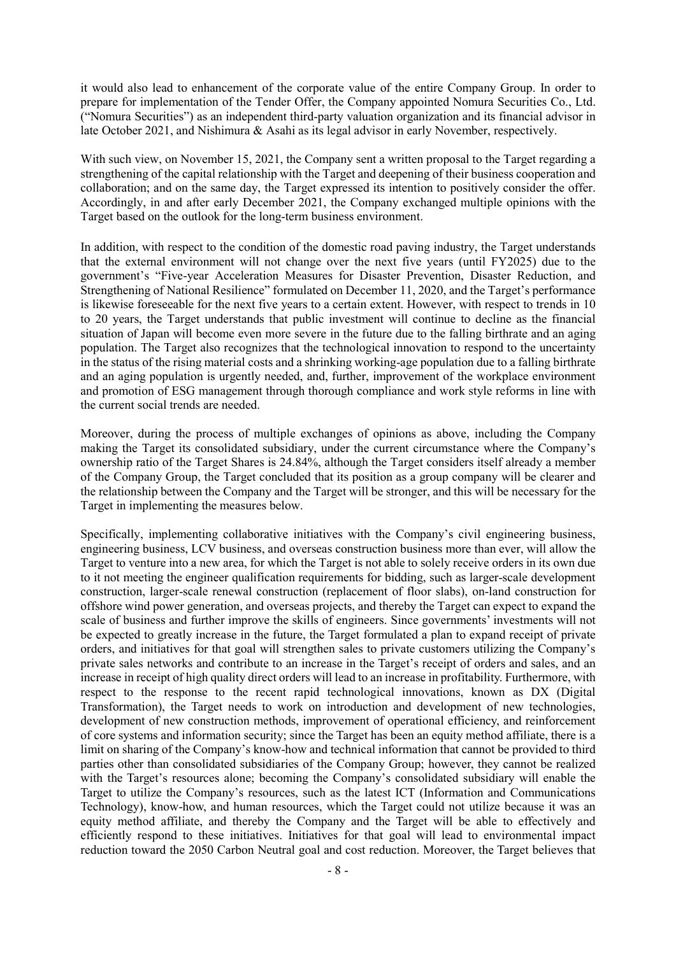it would also lead to enhancement of the corporate value of the entire Company Group. In order to prepare for implementation of the Tender Offer, the Company appointed Nomura Securities Co., Ltd. ("Nomura Securities") as an independent third-party valuation organization and its financial advisor in late October 2021, and Nishimura & Asahi as its legal advisor in early November, respectively.

With such view, on November 15, 2021, the Company sent a written proposal to the Target regarding a strengthening of the capital relationship with the Target and deepening of their business cooperation and collaboration; and on the same day, the Target expressed its intention to positively consider the offer. Accordingly, in and after early December 2021, the Company exchanged multiple opinions with the Target based on the outlook for the long-term business environment.

In addition, with respect to the condition of the domestic road paving industry, the Target understands that the external environment will not change over the next five years (until FY2025) due to the government's "Five-year Acceleration Measures for Disaster Prevention, Disaster Reduction, and Strengthening of National Resilience" formulated on December 11, 2020, and the Target's performance is likewise foreseeable for the next five years to a certain extent. However, with respect to trends in 10 to 20 years, the Target understands that public investment will continue to decline as the financial situation of Japan will become even more severe in the future due to the falling birthrate and an aging population. The Target also recognizes that the technological innovation to respond to the uncertainty in the status of the rising material costs and a shrinking working-age population due to a falling birthrate and an aging population is urgently needed, and, further, improvement of the workplace environment and promotion of ESG management through thorough compliance and work style reforms in line with the current social trends are needed.

Moreover, during the process of multiple exchanges of opinions as above, including the Company making the Target its consolidated subsidiary, under the current circumstance where the Company's ownership ratio of the Target Shares is 24.84%, although the Target considers itself already a member of the Company Group, the Target concluded that its position as a group company will be clearer and the relationship between the Company and the Target will be stronger, and this will be necessary for the Target in implementing the measures below.

Specifically, implementing collaborative initiatives with the Company's civil engineering business, engineering business, LCV business, and overseas construction business more than ever, will allow the Target to venture into a new area, for which the Target is not able to solely receive orders in its own due to it not meeting the engineer qualification requirements for bidding, such as larger-scale development construction, larger-scale renewal construction (replacement of floor slabs), on-land construction for offshore wind power generation, and overseas projects, and thereby the Target can expect to expand the scale of business and further improve the skills of engineers. Since governments' investments will not be expected to greatly increase in the future, the Target formulated a plan to expand receipt of private orders, and initiatives for that goal will strengthen sales to private customers utilizing the Company's private sales networks and contribute to an increase in the Target's receipt of orders and sales, and an increase in receipt of high quality direct orders will lead to an increase in profitability. Furthermore, with respect to the response to the recent rapid technological innovations, known as DX (Digital Transformation), the Target needs to work on introduction and development of new technologies, development of new construction methods, improvement of operational efficiency, and reinforcement of core systems and information security; since the Target has been an equity method affiliate, there is a limit on sharing of the Company's know-how and technical information that cannot be provided to third parties other than consolidated subsidiaries of the Company Group; however, they cannot be realized with the Target's resources alone; becoming the Company's consolidated subsidiary will enable the Target to utilize the Company's resources, such as the latest ICT (Information and Communications Technology), know-how, and human resources, which the Target could not utilize because it was an equity method affiliate, and thereby the Company and the Target will be able to effectively and efficiently respond to these initiatives. Initiatives for that goal will lead to environmental impact reduction toward the 2050 Carbon Neutral goal and cost reduction. Moreover, the Target believes that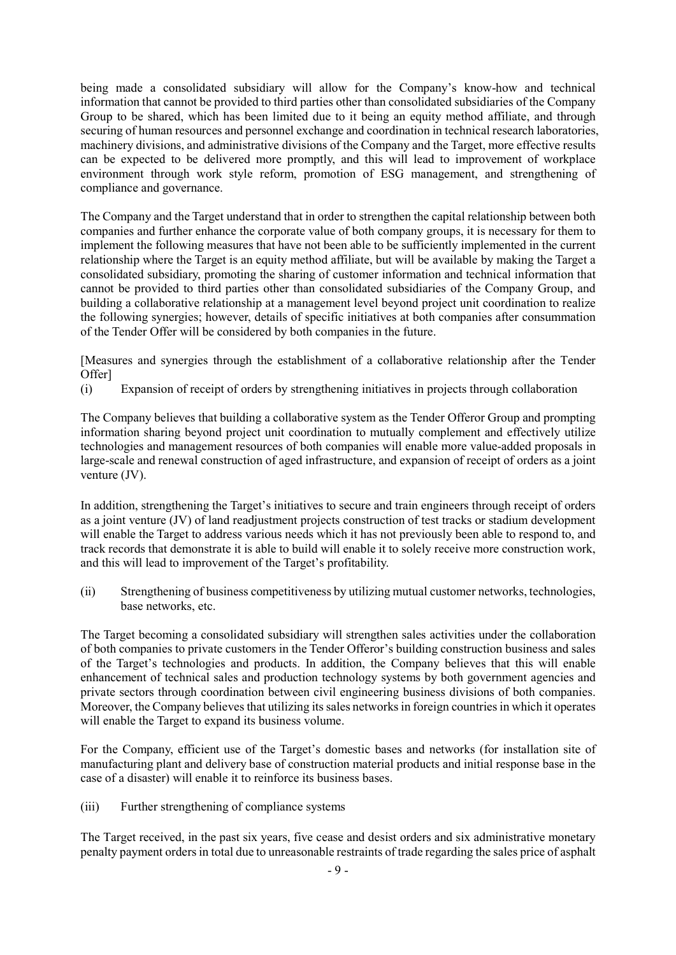being made a consolidated subsidiary will allow for the Company's know-how and technical information that cannot be provided to third parties other than consolidated subsidiaries of the Company Group to be shared, which has been limited due to it being an equity method affiliate, and through securing of human resources and personnel exchange and coordination in technical research laboratories, machinery divisions, and administrative divisions of the Company and the Target, more effective results can be expected to be delivered more promptly, and this will lead to improvement of workplace environment through work style reform, promotion of ESG management, and strengthening of compliance and governance.

The Company and the Target understand that in order to strengthen the capital relationship between both companies and further enhance the corporate value of both company groups, it is necessary for them to implement the following measures that have not been able to be sufficiently implemented in the current relationship where the Target is an equity method affiliate, but will be available by making the Target a consolidated subsidiary, promoting the sharing of customer information and technical information that cannot be provided to third parties other than consolidated subsidiaries of the Company Group, and building a collaborative relationship at a management level beyond project unit coordination to realize the following synergies; however, details of specific initiatives at both companies after consummation of the Tender Offer will be considered by both companies in the future.

[Measures and synergies through the establishment of a collaborative relationship after the Tender Offer]

(ⅰ) Expansion of receipt of orders by strengthening initiatives in projects through collaboration

The Company believes that building a collaborative system as the Tender Offeror Group and prompting information sharing beyond project unit coordination to mutually complement and effectively utilize technologies and management resources of both companies will enable more value-added proposals in large-scale and renewal construction of aged infrastructure, and expansion of receipt of orders as a joint venture (JV).

In addition, strengthening the Target's initiatives to secure and train engineers through receipt of orders as a joint venture (JV) of land readjustment projects construction of test tracks or stadium development will enable the Target to address various needs which it has not previously been able to respond to, and track records that demonstrate it is able to build will enable it to solely receive more construction work, and this will lead to improvement of the Target's profitability.

(ⅱ) Strengthening of business competitiveness by utilizing mutual customer networks, technologies, base networks, etc.

The Target becoming a consolidated subsidiary will strengthen sales activities under the collaboration of both companies to private customers in the Tender Offeror's building construction business and sales of the Target's technologies and products. In addition, the Company believes that this will enable enhancement of technical sales and production technology systems by both government agencies and private sectors through coordination between civil engineering business divisions of both companies. Moreover, the Company believes that utilizing its sales networks in foreign countries in which it operates will enable the Target to expand its business volume.

For the Company, efficient use of the Target's domestic bases and networks (for installation site of manufacturing plant and delivery base of construction material products and initial response base in the case of a disaster) will enable it to reinforce its business bases.

(iii) Further strengthening of compliance systems

The Target received, in the past six years, five cease and desist orders and six administrative monetary penalty payment orders in total due to unreasonable restraints of trade regarding the sales price of asphalt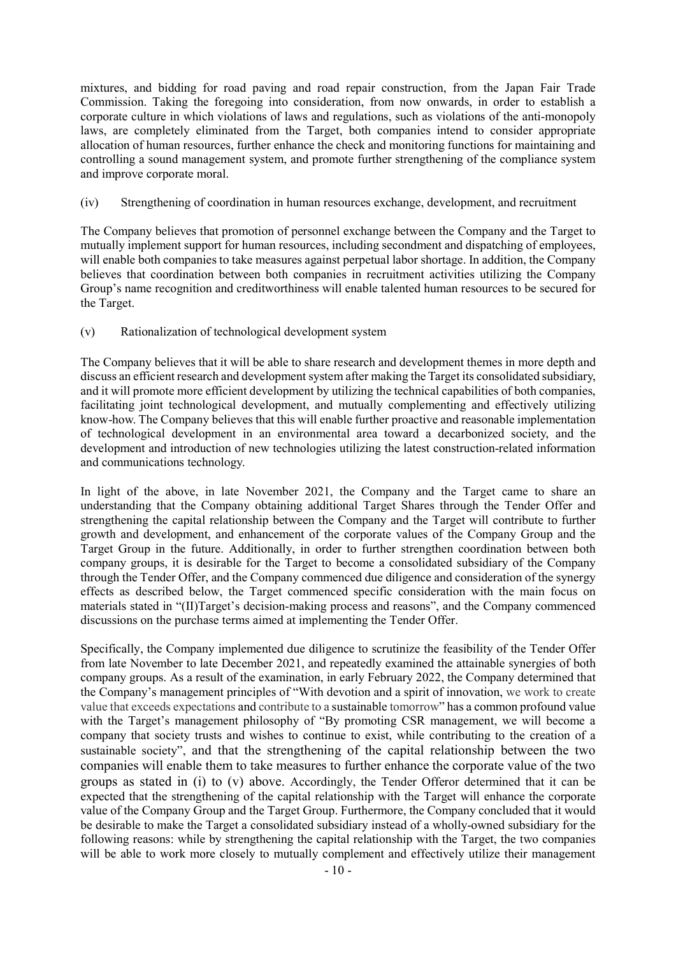mixtures, and bidding for road paving and road repair construction, from the Japan Fair Trade Commission. Taking the foregoing into consideration, from now onwards, in order to establish a corporate culture in which violations of laws and regulations, such as violations of the anti-monopoly laws, are completely eliminated from the Target, both companies intend to consider appropriate allocation of human resources, further enhance the check and monitoring functions for maintaining and controlling a sound management system, and promote further strengthening of the compliance system and improve corporate moral.

### (iv) Strengthening of coordination in human resources exchange, development, and recruitment

The Company believes that promotion of personnel exchange between the Company and the Target to mutually implement support for human resources, including secondment and dispatching of employees, will enable both companies to take measures against perpetual labor shortage. In addition, the Company believes that coordination between both companies in recruitment activities utilizing the Company Group's name recognition and creditworthiness will enable talented human resources to be secured for the Target.

## (v) Rationalization of technological development system

The Company believes that it will be able to share research and development themes in more depth and discuss an efficient research and development system after making the Target its consolidated subsidiary, and it will promote more efficient development by utilizing the technical capabilities of both companies, facilitating joint technological development, and mutually complementing and effectively utilizing know-how. The Company believes that this will enable further proactive and reasonable implementation of technological development in an environmental area toward a decarbonized society, and the development and introduction of new technologies utilizing the latest construction-related information and communications technology.

In light of the above, in late November 2021, the Company and the Target came to share an understanding that the Company obtaining additional Target Shares through the Tender Offer and strengthening the capital relationship between the Company and the Target will contribute to further growth and development, and enhancement of the corporate values of the Company Group and the Target Group in the future. Additionally, in order to further strengthen coordination between both company groups, it is desirable for the Target to become a consolidated subsidiary of the Company through the Tender Offer, and the Company commenced due diligence and consideration of the synergy effects as described below, the Target commenced specific consideration with the main focus on materials stated in "(II)Target's decision-making process and reasons", and the Company commenced discussions on the purchase terms aimed at implementing the Tender Offer.

Specifically, the Company implemented due diligence to scrutinize the feasibility of the Tender Offer from late November to late December 2021, and repeatedly examined the attainable synergies of both company groups. As a result of the examination, in early February 2022, the Company determined that the Company's management principles of "With devotion and a spirit of innovation, we work to create value that exceeds expectations and contribute to a sustainable tomorrow" has a common profound value with the Target's management philosophy of "By promoting CSR management, we will become a company that society trusts and wishes to continue to exist, while contributing to the creation of a sustainable society", and that the strengthening of the capital relationship between the two companies will enable them to take measures to further enhance the corporate value of the two groups as stated in (i) to (v) above. Accordingly, the Tender Offeror determined that it can be expected that the strengthening of the capital relationship with the Target will enhance the corporate value of the Company Group and the Target Group. Furthermore, the Company concluded that it would be desirable to make the Target a consolidated subsidiary instead of a wholly-owned subsidiary for the following reasons: while by strengthening the capital relationship with the Target, the two companies will be able to work more closely to mutually complement and effectively utilize their management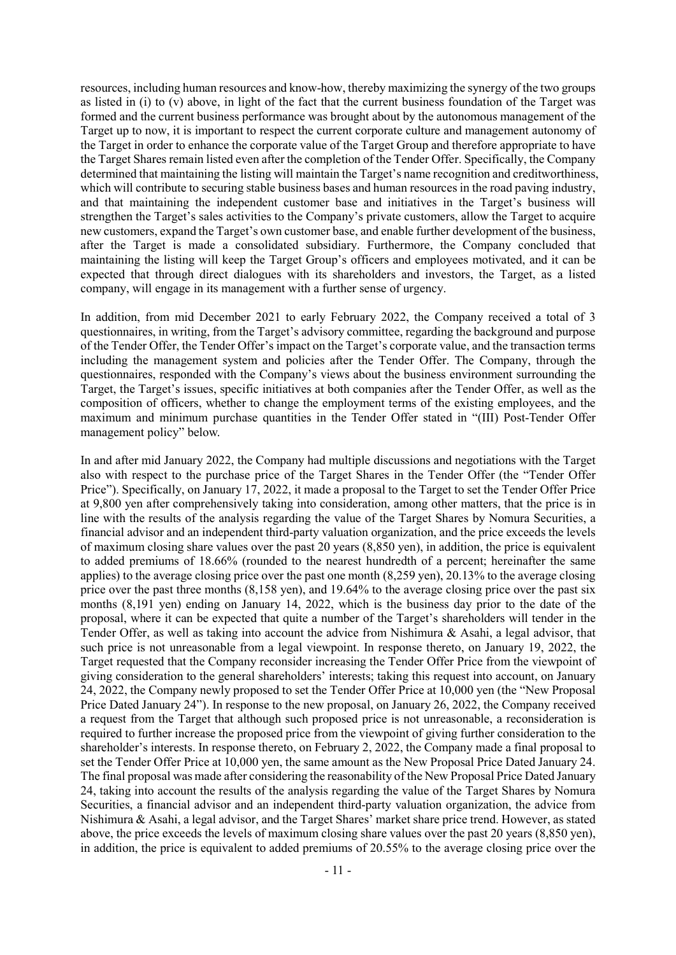resources, including human resources and know-how, thereby maximizing the synergy of the two groups as listed in (i) to (v) above, in light of the fact that the current business foundation of the Target was formed and the current business performance was brought about by the autonomous management of the Target up to now, it is important to respect the current corporate culture and management autonomy of the Target in order to enhance the corporate value of the Target Group and therefore appropriate to have the Target Shares remain listed even after the completion of the Tender Offer. Specifically, the Company determined that maintaining the listing will maintain the Target's name recognition and creditworthiness, which will contribute to securing stable business bases and human resources in the road paving industry, and that maintaining the independent customer base and initiatives in the Target's business will strengthen the Target's sales activities to the Company's private customers, allow the Target to acquire new customers, expand the Target's own customer base, and enable further development of the business, after the Target is made a consolidated subsidiary. Furthermore, the Company concluded that maintaining the listing will keep the Target Group's officers and employees motivated, and it can be expected that through direct dialogues with its shareholders and investors, the Target, as a listed company, will engage in its management with a further sense of urgency.

In addition, from mid December 2021 to early February 2022, the Company received a total of 3 questionnaires, in writing, from the Target's advisory committee, regarding the background and purpose of the Tender Offer, the Tender Offer's impact on the Target's corporate value, and the transaction terms including the management system and policies after the Tender Offer. The Company, through the questionnaires, responded with the Company's views about the business environment surrounding the Target, the Target's issues, specific initiatives at both companies after the Tender Offer, as well as the composition of officers, whether to change the employment terms of the existing employees, and the maximum and minimum purchase quantities in the Tender Offer stated in "(III) Post-Tender Offer management policy" below.

In and after mid January 2022, the Company had multiple discussions and negotiations with the Target also with respect to the purchase price of the Target Shares in the Tender Offer (the "Tender Offer Price"). Specifically, on January 17, 2022, it made a proposal to the Target to set the Tender Offer Price at 9,800 yen after comprehensively taking into consideration, among other matters, that the price is in line with the results of the analysis regarding the value of the Target Shares by Nomura Securities, a financial advisor and an independent third-party valuation organization, and the price exceeds the levels of maximum closing share values over the past 20 years (8,850 yen), in addition, the price is equivalent to added premiums of 18.66% (rounded to the nearest hundredth of a percent; hereinafter the same applies) to the average closing price over the past one month (8,259 yen), 20.13% to the average closing price over the past three months (8,158 yen), and 19.64% to the average closing price over the past six months (8,191 yen) ending on January 14, 2022, which is the business day prior to the date of the proposal, where it can be expected that quite a number of the Target's shareholders will tender in the Tender Offer, as well as taking into account the advice from Nishimura & Asahi, a legal advisor, that such price is not unreasonable from a legal viewpoint. In response thereto, on January 19, 2022, the Target requested that the Company reconsider increasing the Tender Offer Price from the viewpoint of giving consideration to the general shareholders' interests; taking this request into account, on January 24, 2022, the Company newly proposed to set the Tender Offer Price at 10,000 yen (the "New Proposal Price Dated January 24"). In response to the new proposal, on January 26, 2022, the Company received a request from the Target that although such proposed price is not unreasonable, a reconsideration is required to further increase the proposed price from the viewpoint of giving further consideration to the shareholder's interests. In response thereto, on February 2, 2022, the Company made a final proposal to set the Tender Offer Price at 10,000 yen, the same amount as the New Proposal Price Dated January 24. The final proposal was made after considering the reasonability of the New Proposal Price Dated January 24, taking into account the results of the analysis regarding the value of the Target Shares by Nomura Securities, a financial advisor and an independent third-party valuation organization, the advice from Nishimura & Asahi, a legal advisor, and the Target Shares' market share price trend. However, as stated above, the price exceeds the levels of maximum closing share values over the past 20 years (8,850 yen), in addition, the price is equivalent to added premiums of 20.55% to the average closing price over the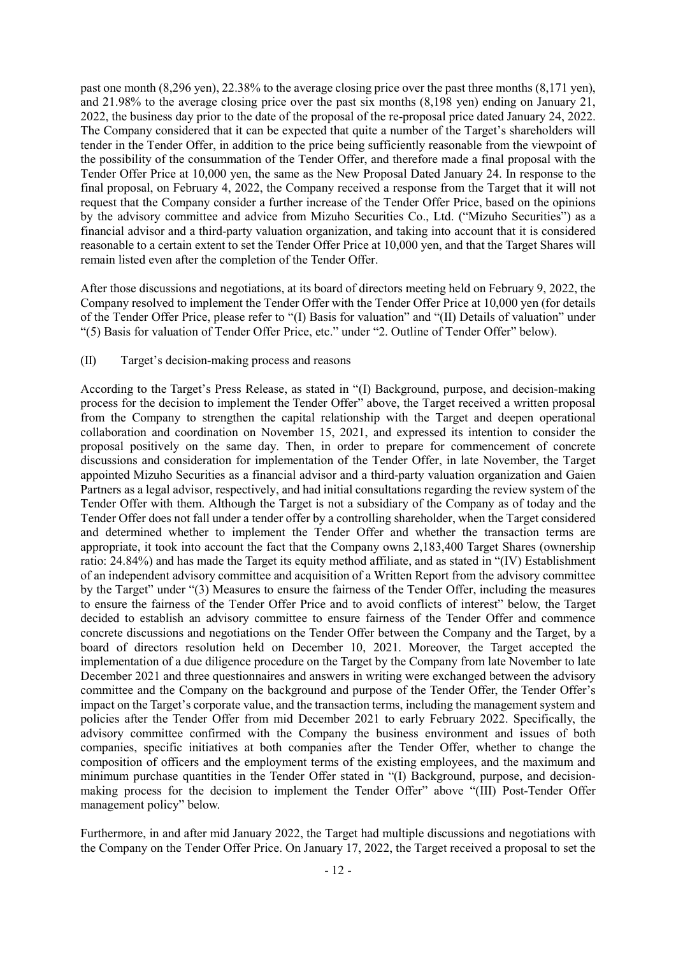past one month (8,296 yen), 22.38% to the average closing price over the past three months (8,171 yen), and 21.98% to the average closing price over the past six months (8,198 yen) ending on January 21, 2022, the business day prior to the date of the proposal of the re-proposal price dated January 24, 2022. The Company considered that it can be expected that quite a number of the Target's shareholders will tender in the Tender Offer, in addition to the price being sufficiently reasonable from the viewpoint of the possibility of the consummation of the Tender Offer, and therefore made a final proposal with the Tender Offer Price at 10,000 yen, the same as the New Proposal Dated January 24. In response to the final proposal, on February 4, 2022, the Company received a response from the Target that it will not request that the Company consider a further increase of the Tender Offer Price, based on the opinions by the advisory committee and advice from Mizuho Securities Co., Ltd. ("Mizuho Securities") as a financial advisor and a third-party valuation organization, and taking into account that it is considered reasonable to a certain extent to set the Tender Offer Price at 10,000 yen, and that the Target Shares will remain listed even after the completion of the Tender Offer.

After those discussions and negotiations, at its board of directors meeting held on February 9, 2022, the Company resolved to implement the Tender Offer with the Tender Offer Price at 10,000 yen (for details of the Tender Offer Price, please refer to "(I) Basis for valuation" and "(II) Details of valuation" under "(5) Basis for valuation of Tender Offer Price, etc." under "2. Outline of Tender Offer" below).

#### (II) Target's decision-making process and reasons

According to the Target's Press Release, as stated in "(I) Background, purpose, and decision-making process for the decision to implement the Tender Offer" above, the Target received a written proposal from the Company to strengthen the capital relationship with the Target and deepen operational collaboration and coordination on November 15, 2021, and expressed its intention to consider the proposal positively on the same day. Then, in order to prepare for commencement of concrete discussions and consideration for implementation of the Tender Offer, in late November, the Target appointed Mizuho Securities as a financial advisor and a third-party valuation organization and Gaien Partners as a legal advisor, respectively, and had initial consultations regarding the review system of the Tender Offer with them. Although the Target is not a subsidiary of the Company as of today and the Tender Offer does not fall under a tender offer by a controlling shareholder, when the Target considered and determined whether to implement the Tender Offer and whether the transaction terms are appropriate, it took into account the fact that the Company owns 2,183,400 Target Shares (ownership ratio: 24.84%) and has made the Target its equity method affiliate, and as stated in "(IV) Establishment of an independent advisory committee and acquisition of a Written Report from the advisory committee by the Target" under "(3) Measures to ensure the fairness of the Tender Offer, including the measures to ensure the fairness of the Tender Offer Price and to avoid conflicts of interest" below, the Target decided to establish an advisory committee to ensure fairness of the Tender Offer and commence concrete discussions and negotiations on the Tender Offer between the Company and the Target, by a board of directors resolution held on December 10, 2021. Moreover, the Target accepted the implementation of a due diligence procedure on the Target by the Company from late November to late December 2021 and three questionnaires and answers in writing were exchanged between the advisory committee and the Company on the background and purpose of the Tender Offer, the Tender Offer's impact on the Target's corporate value, and the transaction terms, including the management system and policies after the Tender Offer from mid December 2021 to early February 2022. Specifically, the advisory committee confirmed with the Company the business environment and issues of both companies, specific initiatives at both companies after the Tender Offer, whether to change the composition of officers and the employment terms of the existing employees, and the maximum and minimum purchase quantities in the Tender Offer stated in "(I) Background, purpose, and decisionmaking process for the decision to implement the Tender Offer" above "(III) Post-Tender Offer management policy" below.

Furthermore, in and after mid January 2022, the Target had multiple discussions and negotiations with the Company on the Tender Offer Price. On January 17, 2022, the Target received a proposal to set the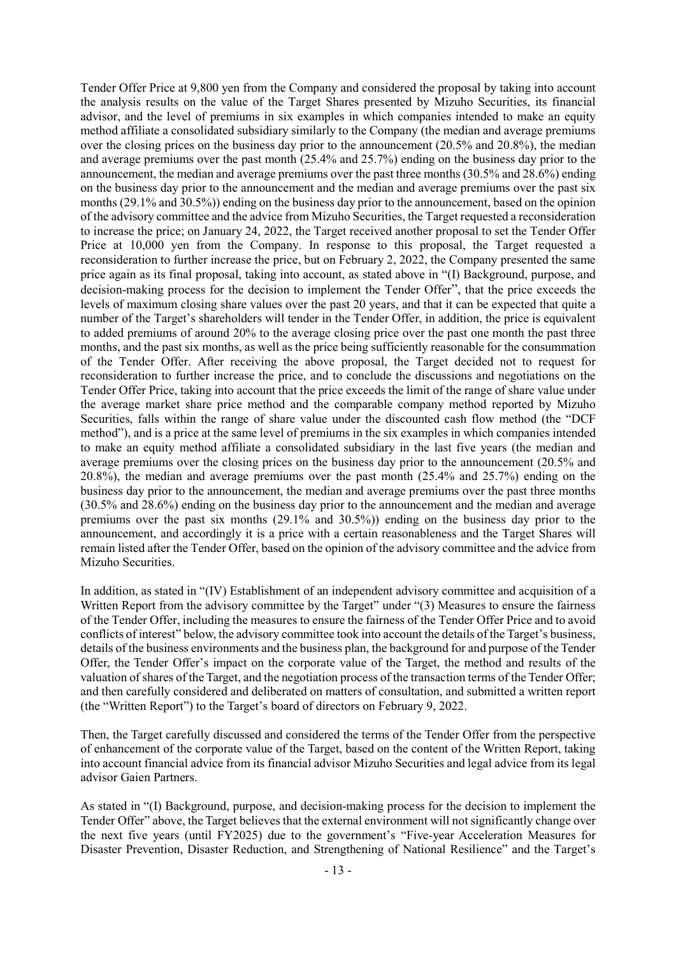Tender Offer Price at 9,800 yen from the Company and considered the proposal by taking into account the analysis results on the value of the Target Shares presented by Mizuho Securities, its financial advisor, and the level of premiums in six examples in which companies intended to make an equity method affiliate a consolidated subsidiary similarly to the Company (the median and average premiums over the closing prices on the business day prior to the announcement (20.5% and 20.8%), the median and average premiums over the past month (25.4% and 25.7%) ending on the business day prior to the announcement, the median and average premiums over the past three months (30.5% and 28.6%) ending on the business day prior to the announcement and the median and average premiums over the past six months (29.1% and 30.5%)) ending on the business day prior to the announcement, based on the opinion of the advisory committee and the advice from Mizuho Securities, the Target requested a reconsideration to increase the price; on January 24, 2022, the Target received another proposal to set the Tender Offer Price at 10,000 yen from the Company. In response to this proposal, the Target requested a reconsideration to further increase the price, but on February 2, 2022, the Company presented the same price again as its final proposal, taking into account, as stated above in "(I) Background, purpose, and decision-making process for the decision to implement the Tender Offer", that the price exceeds the levels of maximum closing share values over the past 20 years, and that it can be expected that quite a number of the Target's shareholders will tender in the Tender Offer, in addition, the price is equivalent to added premiums of around 20% to the average closing price over the past one month the past three months, and the past six months, as well as the price being sufficiently reasonable for the consummation of the Tender Offer. After receiving the above proposal, the Target decided not to request for reconsideration to further increase the price, and to conclude the discussions and negotiations on the Tender Offer Price, taking into account that the price exceeds the limit of the range of share value under the average market share price method and the comparable company method reported by Mizuho Securities, falls within the range of share value under the discounted cash flow method (the "DCF method"), and is a price at the same level of premiums in the six examples in which companies intended to make an equity method affiliate a consolidated subsidiary in the last five years (the median and average premiums over the closing prices on the business day prior to the announcement (20.5% and 20.8%), the median and average premiums over the past month (25.4% and 25.7%) ending on the business day prior to the announcement, the median and average premiums over the past three months (30.5% and 28.6%) ending on the business day prior to the announcement and the median and average premiums over the past six months (29.1% and 30.5%)) ending on the business day prior to the announcement, and accordingly it is a price with a certain reasonableness and the Target Shares will remain listed after the Tender Offer, based on the opinion of the advisory committee and the advice from Mizuho Securities.

In addition, as stated in "(IV) Establishment of an independent advisory committee and acquisition of a Written Report from the advisory committee by the Target" under "(3) Measures to ensure the fairness of the Tender Offer, including the measures to ensure the fairness of the Tender Offer Price and to avoid conflicts of interest" below, the advisory committee took into account the details of the Target's business, details of the business environments and the business plan, the background for and purpose of the Tender Offer, the Tender Offer's impact on the corporate value of the Target, the method and results of the valuation of shares of the Target, and the negotiation process of the transaction terms of the Tender Offer; and then carefully considered and deliberated on matters of consultation, and submitted a written report (the "Written Report") to the Target's board of directors on February 9, 2022.

Then, the Target carefully discussed and considered the terms of the Tender Offer from the perspective of enhancement of the corporate value of the Target, based on the content of the Written Report, taking into account financial advice from its financial advisor Mizuho Securities and legal advice from its legal advisor Gaien Partners.

As stated in "(I) Background, purpose, and decision-making process for the decision to implement the Tender Offer" above, the Target believes that the external environment will not significantly change over the next five years (until FY2025) due to the government's "Five-year Acceleration Measures for Disaster Prevention, Disaster Reduction, and Strengthening of National Resilience" and the Target's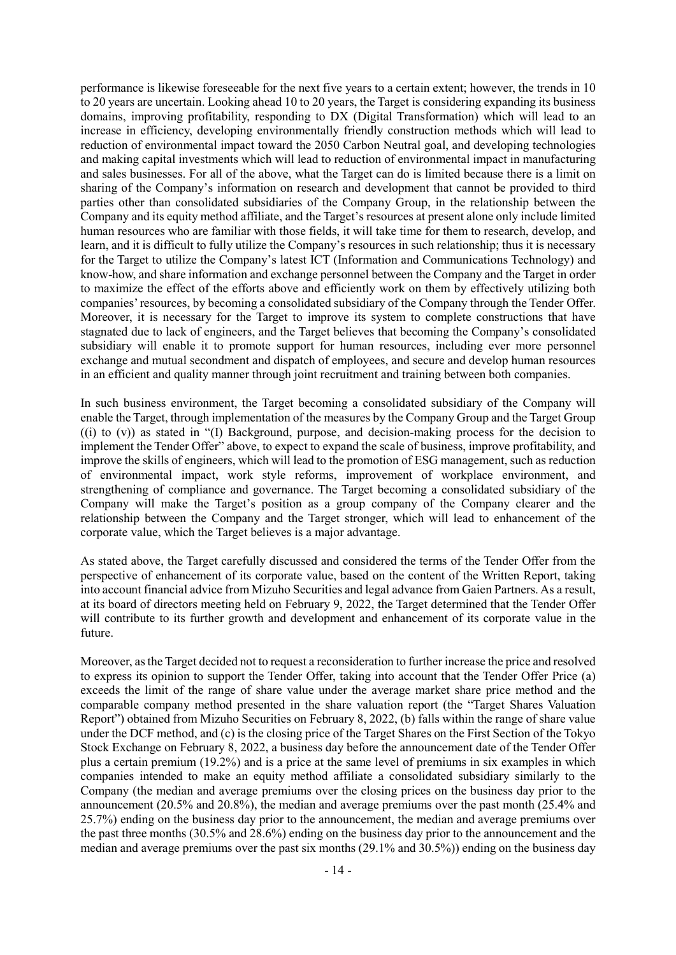performance is likewise foreseeable for the next five years to a certain extent; however, the trends in 10 to 20 years are uncertain. Looking ahead 10 to 20 years, the Target is considering expanding its business domains, improving profitability, responding to DX (Digital Transformation) which will lead to an increase in efficiency, developing environmentally friendly construction methods which will lead to reduction of environmental impact toward the 2050 Carbon Neutral goal, and developing technologies and making capital investments which will lead to reduction of environmental impact in manufacturing and sales businesses. For all of the above, what the Target can do is limited because there is a limit on sharing of the Company's information on research and development that cannot be provided to third parties other than consolidated subsidiaries of the Company Group, in the relationship between the Company and its equity method affiliate, and the Target's resources at present alone only include limited human resources who are familiar with those fields, it will take time for them to research, develop, and learn, and it is difficult to fully utilize the Company's resources in such relationship; thus it is necessary for the Target to utilize the Company's latest ICT (Information and Communications Technology) and know-how, and share information and exchange personnel between the Company and the Target in order to maximize the effect of the efforts above and efficiently work on them by effectively utilizing both companies' resources, by becoming a consolidated subsidiary of the Company through the Tender Offer. Moreover, it is necessary for the Target to improve its system to complete constructions that have stagnated due to lack of engineers, and the Target believes that becoming the Company's consolidated subsidiary will enable it to promote support for human resources, including ever more personnel exchange and mutual secondment and dispatch of employees, and secure and develop human resources in an efficient and quality manner through joint recruitment and training between both companies.

In such business environment, the Target becoming a consolidated subsidiary of the Company will enable the Target, through implementation of the measures by the Company Group and the Target Group  $(1)$  to  $(v)$ ) as stated in "(I) Background, purpose, and decision-making process for the decision to implement the Tender Offer" above, to expect to expand the scale of business, improve profitability, and improve the skills of engineers, which will lead to the promotion of ESG management, such as reduction of environmental impact, work style reforms, improvement of workplace environment, and strengthening of compliance and governance. The Target becoming a consolidated subsidiary of the Company will make the Target's position as a group company of the Company clearer and the relationship between the Company and the Target stronger, which will lead to enhancement of the corporate value, which the Target believes is a major advantage.

As stated above, the Target carefully discussed and considered the terms of the Tender Offer from the perspective of enhancement of its corporate value, based on the content of the Written Report, taking into account financial advice from Mizuho Securities and legal advance from Gaien Partners. As a result, at its board of directors meeting held on February 9, 2022, the Target determined that the Tender Offer will contribute to its further growth and development and enhancement of its corporate value in the future.

Moreover, as the Target decided not to request a reconsideration to further increase the price and resolved to express its opinion to support the Tender Offer, taking into account that the Tender Offer Price (a) exceeds the limit of the range of share value under the average market share price method and the comparable company method presented in the share valuation report (the "Target Shares Valuation Report") obtained from Mizuho Securities on February 8, 2022, (b) falls within the range of share value under the DCF method, and (c) is the closing price of the Target Shares on the First Section of the Tokyo Stock Exchange on February 8, 2022, a business day before the announcement date of the Tender Offer plus a certain premium (19.2%) and is a price at the same level of premiums in six examples in which companies intended to make an equity method affiliate a consolidated subsidiary similarly to the Company (the median and average premiums over the closing prices on the business day prior to the announcement (20.5% and 20.8%), the median and average premiums over the past month (25.4% and 25.7%) ending on the business day prior to the announcement, the median and average premiums over the past three months (30.5% and 28.6%) ending on the business day prior to the announcement and the median and average premiums over the past six months (29.1% and 30.5%)) ending on the business day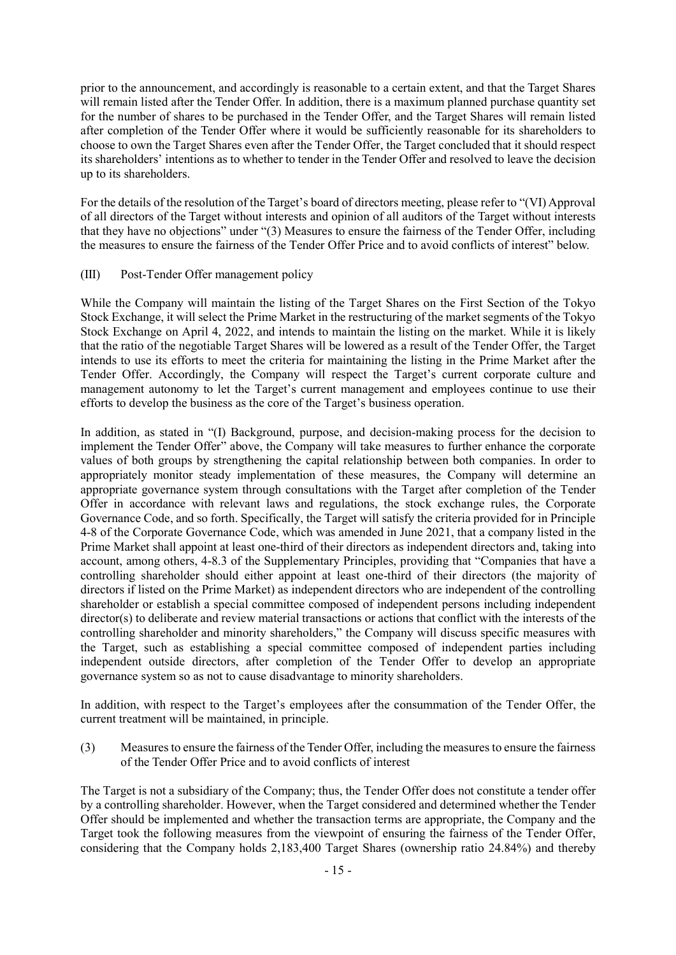prior to the announcement, and accordingly is reasonable to a certain extent, and that the Target Shares will remain listed after the Tender Offer. In addition, there is a maximum planned purchase quantity set for the number of shares to be purchased in the Tender Offer, and the Target Shares will remain listed after completion of the Tender Offer where it would be sufficiently reasonable for its shareholders to choose to own the Target Shares even after the Tender Offer, the Target concluded that it should respect its shareholders' intentions as to whether to tender in the Tender Offer and resolved to leave the decision up to its shareholders.

For the details of the resolution of the Target's board of directors meeting, please refer to "(VI) Approval of all directors of the Target without interests and opinion of all auditors of the Target without interests that they have no objections" under "(3) Measures to ensure the fairness of the Tender Offer, including the measures to ensure the fairness of the Tender Offer Price and to avoid conflicts of interest" below.

### (III) Post-Tender Offer management policy

While the Company will maintain the listing of the Target Shares on the First Section of the Tokyo Stock Exchange, it will select the Prime Market in the restructuring of the market segments of the Tokyo Stock Exchange on April 4, 2022, and intends to maintain the listing on the market. While it is likely that the ratio of the negotiable Target Shares will be lowered as a result of the Tender Offer, the Target intends to use its efforts to meet the criteria for maintaining the listing in the Prime Market after the Tender Offer. Accordingly, the Company will respect the Target's current corporate culture and management autonomy to let the Target's current management and employees continue to use their efforts to develop the business as the core of the Target's business operation.

In addition, as stated in "(I) Background, purpose, and decision-making process for the decision to implement the Tender Offer" above, the Company will take measures to further enhance the corporate values of both groups by strengthening the capital relationship between both companies. In order to appropriately monitor steady implementation of these measures, the Company will determine an appropriate governance system through consultations with the Target after completion of the Tender Offer in accordance with relevant laws and regulations, the stock exchange rules, the Corporate Governance Code, and so forth. Specifically, the Target will satisfy the criteria provided for in Principle 4-8 of the Corporate Governance Code, which was amended in June 2021, that a company listed in the Prime Market shall appoint at least one-third of their directors as independent directors and, taking into account, among others, 4-8.3 of the Supplementary Principles, providing that "Companies that have a controlling shareholder should either appoint at least one-third of their directors (the majority of directors if listed on the Prime Market) as independent directors who are independent of the controlling shareholder or establish a special committee composed of independent persons including independent director(s) to deliberate and review material transactions or actions that conflict with the interests of the controlling shareholder and minority shareholders," the Company will discuss specific measures with the Target, such as establishing a special committee composed of independent parties including independent outside directors, after completion of the Tender Offer to develop an appropriate governance system so as not to cause disadvantage to minority shareholders.

In addition, with respect to the Target's employees after the consummation of the Tender Offer, the current treatment will be maintained, in principle.

(3) Measures to ensure the fairness of the Tender Offer, including the measures to ensure the fairness of the Tender Offer Price and to avoid conflicts of interest

The Target is not a subsidiary of the Company; thus, the Tender Offer does not constitute a tender offer by a controlling shareholder. However, when the Target considered and determined whether the Tender Offer should be implemented and whether the transaction terms are appropriate, the Company and the Target took the following measures from the viewpoint of ensuring the fairness of the Tender Offer, considering that the Company holds 2,183,400 Target Shares (ownership ratio 24.84%) and thereby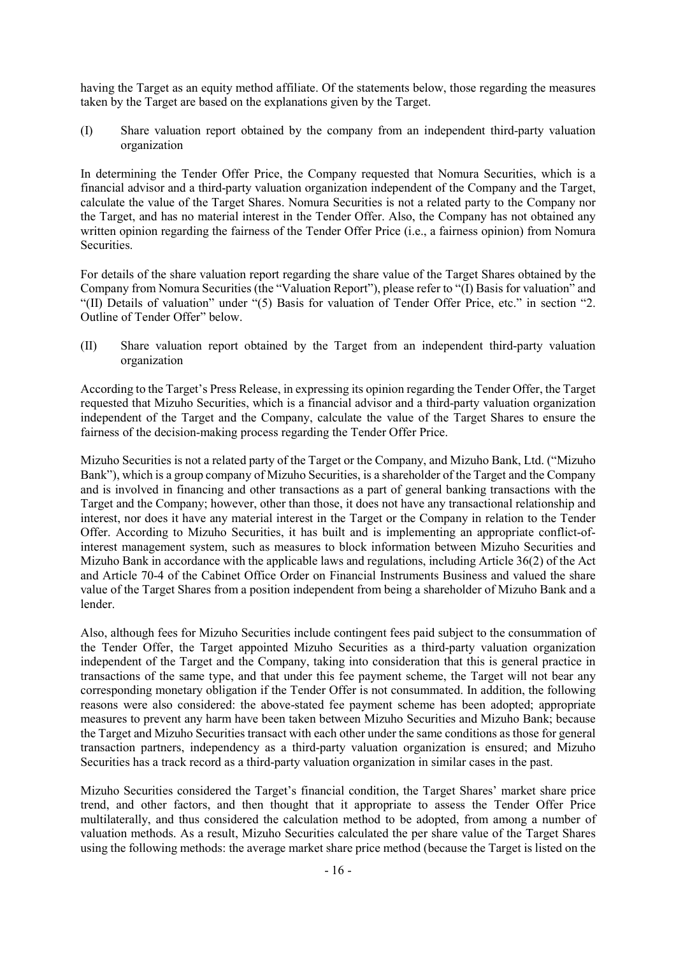having the Target as an equity method affiliate. Of the statements below, those regarding the measures taken by the Target are based on the explanations given by the Target.

(I) Share valuation report obtained by the company from an independent third-party valuation organization

In determining the Tender Offer Price, the Company requested that Nomura Securities, which is a financial advisor and a third-party valuation organization independent of the Company and the Target, calculate the value of the Target Shares. Nomura Securities is not a related party to the Company nor the Target, and has no material interest in the Tender Offer. Also, the Company has not obtained any written opinion regarding the fairness of the Tender Offer Price (i.e., a fairness opinion) from Nomura Securities.

For details of the share valuation report regarding the share value of the Target Shares obtained by the Company from Nomura Securities (the "Valuation Report"), please refer to "(I) Basis for valuation" and "(II) Details of valuation" under "(5) Basis for valuation of Tender Offer Price, etc." in section "2. Outline of Tender Offer" below.

(II) Share valuation report obtained by the Target from an independent third-party valuation organization

According to the Target's Press Release, in expressing its opinion regarding the Tender Offer, the Target requested that Mizuho Securities, which is a financial advisor and a third-party valuation organization independent of the Target and the Company, calculate the value of the Target Shares to ensure the fairness of the decision-making process regarding the Tender Offer Price.

Mizuho Securities is not a related party of the Target or the Company, and Mizuho Bank, Ltd. ("Mizuho Bank"), which is a group company of Mizuho Securities, is a shareholder of the Target and the Company and is involved in financing and other transactions as a part of general banking transactions with the Target and the Company; however, other than those, it does not have any transactional relationship and interest, nor does it have any material interest in the Target or the Company in relation to the Tender Offer. According to Mizuho Securities, it has built and is implementing an appropriate conflict-ofinterest management system, such as measures to block information between Mizuho Securities and Mizuho Bank in accordance with the applicable laws and regulations, including Article 36(2) of the Act and Article 70-4 of the Cabinet Office Order on Financial Instruments Business and valued the share value of the Target Shares from a position independent from being a shareholder of Mizuho Bank and a lender.

Also, although fees for Mizuho Securities include contingent fees paid subject to the consummation of the Tender Offer, the Target appointed Mizuho Securities as a third-party valuation organization independent of the Target and the Company, taking into consideration that this is general practice in transactions of the same type, and that under this fee payment scheme, the Target will not bear any corresponding monetary obligation if the Tender Offer is not consummated. In addition, the following reasons were also considered: the above-stated fee payment scheme has been adopted; appropriate measures to prevent any harm have been taken between Mizuho Securities and Mizuho Bank; because the Target and Mizuho Securities transact with each other under the same conditions as those for general transaction partners, independency as a third-party valuation organization is ensured; and Mizuho Securities has a track record as a third-party valuation organization in similar cases in the past.

Mizuho Securities considered the Target's financial condition, the Target Shares' market share price trend, and other factors, and then thought that it appropriate to assess the Tender Offer Price multilaterally, and thus considered the calculation method to be adopted, from among a number of valuation methods. As a result, Mizuho Securities calculated the per share value of the Target Shares using the following methods: the average market share price method (because the Target is listed on the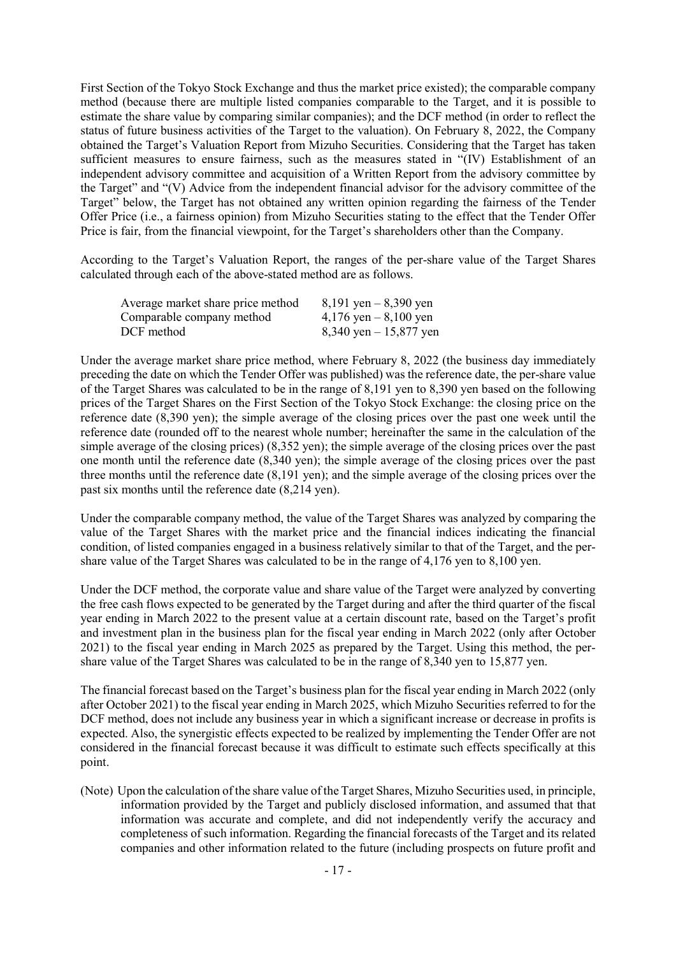First Section of the Tokyo Stock Exchange and thus the market price existed); the comparable company method (because there are multiple listed companies comparable to the Target, and it is possible to estimate the share value by comparing similar companies); and the DCF method (in order to reflect the status of future business activities of the Target to the valuation). On February 8, 2022, the Company obtained the Target's Valuation Report from Mizuho Securities. Considering that the Target has taken sufficient measures to ensure fairness, such as the measures stated in "(IV) Establishment of an independent advisory committee and acquisition of a Written Report from the advisory committee by the Target" and "(V) Advice from the independent financial advisor for the advisory committee of the Target" below, the Target has not obtained any written opinion regarding the fairness of the Tender Offer Price (i.e., a fairness opinion) from Mizuho Securities stating to the effect that the Tender Offer Price is fair, from the financial viewpoint, for the Target's shareholders other than the Company.

According to the Target's Valuation Report, the ranges of the per-share value of the Target Shares calculated through each of the above-stated method are as follows.

| Average market share price method | 8,191 yen $-8,390$ yen    |
|-----------------------------------|---------------------------|
| Comparable company method         | 4,176 yen $-8,100$ yen    |
| DCF method                        | $8,340$ yen $-15,877$ yen |

Under the average market share price method, where February 8, 2022 (the business day immediately preceding the date on which the Tender Offer was published) was the reference date, the per-share value of the Target Shares was calculated to be in the range of 8,191 yen to 8,390 yen based on the following prices of the Target Shares on the First Section of the Tokyo Stock Exchange: the closing price on the reference date (8,390 yen); the simple average of the closing prices over the past one week until the reference date (rounded off to the nearest whole number; hereinafter the same in the calculation of the simple average of the closing prices) (8,352 yen); the simple average of the closing prices over the past one month until the reference date (8,340 yen); the simple average of the closing prices over the past three months until the reference date (8,191 yen); and the simple average of the closing prices over the past six months until the reference date (8,214 yen).

Under the comparable company method, the value of the Target Shares was analyzed by comparing the value of the Target Shares with the market price and the financial indices indicating the financial condition, of listed companies engaged in a business relatively similar to that of the Target, and the pershare value of the Target Shares was calculated to be in the range of 4,176 yen to 8,100 yen.

Under the DCF method, the corporate value and share value of the Target were analyzed by converting the free cash flows expected to be generated by the Target during and after the third quarter of the fiscal year ending in March 2022 to the present value at a certain discount rate, based on the Target's profit and investment plan in the business plan for the fiscal year ending in March 2022 (only after October 2021) to the fiscal year ending in March 2025 as prepared by the Target. Using this method, the pershare value of the Target Shares was calculated to be in the range of 8,340 yen to 15,877 yen.

The financial forecast based on the Target's business plan for the fiscal year ending in March 2022 (only after October 2021) to the fiscal year ending in March 2025, which Mizuho Securities referred to for the DCF method, does not include any business year in which a significant increase or decrease in profits is expected. Also, the synergistic effects expected to be realized by implementing the Tender Offer are not considered in the financial forecast because it was difficult to estimate such effects specifically at this point.

(Note) Upon the calculation of the share value of the Target Shares, Mizuho Securities used, in principle, information provided by the Target and publicly disclosed information, and assumed that that information was accurate and complete, and did not independently verify the accuracy and completeness of such information. Regarding the financial forecasts of the Target and its related companies and other information related to the future (including prospects on future profit and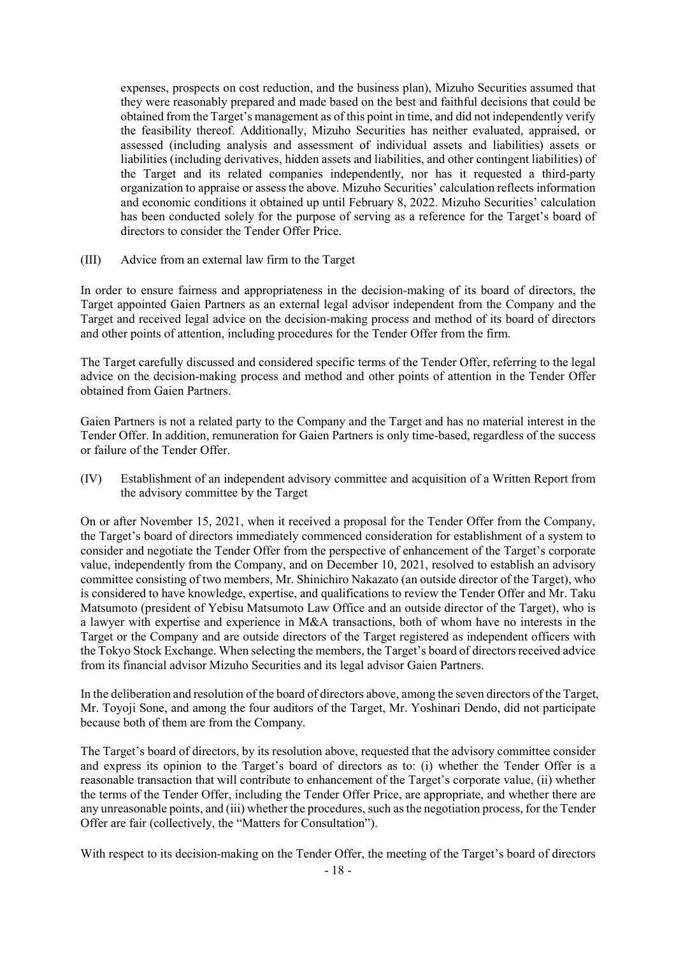expenses, prospects on cost reduction, and the business plan), Mizuho Securities assumed that they were reasonably prepared and made based on the best and faithful decisions that could be obtained from the Target's management as of this point in time, and did not independently verify the feasibility thereof. Additionally, Mizuho Securities has neither evaluated, appraised, or assessed (including analysis and assessment of individual assets and liabilities) assets or liabilities (including derivatives, hidden assets and liabilities, and other contingent liabilities) of the Target and its related companies independently, nor has it requested a third-party organization to appraise or assess the above. Mizuho Securities' calculation reflects information and economic conditions it obtained up until February 8, 2022. Mizuho Securities' calculation has been conducted solely for the purpose of serving as a reference for the Target's board of directors to consider the Tender Offer Price.

(III) Advice from an external law firm to the Target

In order to ensure fairness and appropriateness in the decision-making of its board of directors, the Target appointed Gaien Partners as an external legal advisor independent from the Company and the Target and received legal advice on the decision-making process and method of its board of directors and other points of attention, including procedures for the Tender Offer from the firm.

The Target carefully discussed and considered specific terms of the Tender Offer, referring to the legal advice on the decision-making process and method and other points of attention in the Tender Offer obtained from Gaien Partners.

Gaien Partners is not a related party to the Company and the Target and has no material interest in the Tender Offer. In addition, remuneration for Gaien Partners is only time-based, regardless of the success or failure of the Tender Offer.

(IV) Establishment of an independent advisory committee and acquisition of a Written Report from the advisory committee by the Target

On or after November 15, 2021, when it received a proposal for the Tender Offer from the Company, the Target's board of directors immediately commenced consideration for establishment of a system to consider and negotiate the Tender Offer from the perspective of enhancement of the Target's corporate value, independently from the Company, and on December 10, 2021, resolved to establish an advisory committee consisting of two members, Mr. Shinichiro Nakazato (an outside director of the Target), who is considered to have knowledge, expertise, and qualifications to review the Tender Offer and Mr. Taku Matsumoto (president of Yebisu Matsumoto Law Office and an outside director of the Target), who is a lawyer with expertise and experience in M&A transactions, both of whom have no interests in the Target or the Company and are outside directors of the Target registered as independent officers with the Tokyo Stock Exchange. When selecting the members, the Target's board of directors received advice from its financial advisor Mizuho Securities and its legal advisor Gaien Partners.

In the deliberation and resolution of the board of directors above, among the seven directors of the Target, Mr. Toyoji Sone, and among the four auditors of the Target, Mr. Yoshinari Dendo, did not participate because both of them are from the Company.

The Target's board of directors, by its resolution above, requested that the advisory committee consider and express its opinion to the Target's board of directors as to: (i) whether the Tender Offer is a reasonable transaction that will contribute to enhancement of the Target's corporate value, (ii) whether the terms of the Tender Offer, including the Tender Offer Price, are appropriate, and whether there are any unreasonable points, and (iii) whether the procedures, such as the negotiation process, for the Tender Offer are fair (collectively, the "Matters for Consultation").

With respect to its decision-making on the Tender Offer, the meeting of the Target's board of directors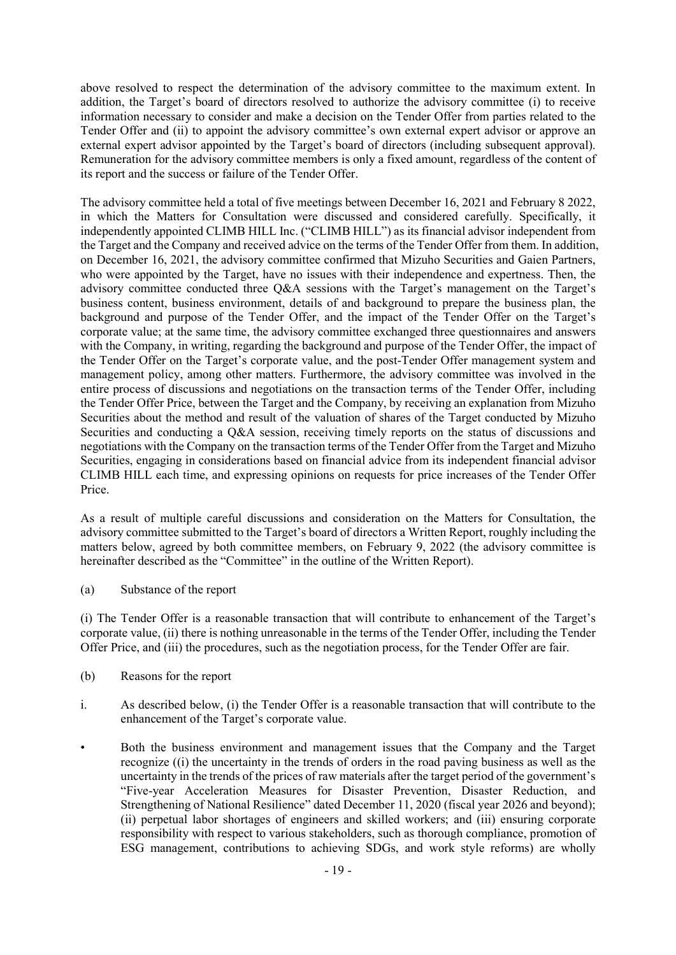above resolved to respect the determination of the advisory committee to the maximum extent. In addition, the Target's board of directors resolved to authorize the advisory committee (i) to receive information necessary to consider and make a decision on the Tender Offer from parties related to the Tender Offer and (ii) to appoint the advisory committee's own external expert advisor or approve an external expert advisor appointed by the Target's board of directors (including subsequent approval). Remuneration for the advisory committee members is only a fixed amount, regardless of the content of its report and the success or failure of the Tender Offer.

The advisory committee held a total of five meetings between December 16, 2021 and February 8 2022, in which the Matters for Consultation were discussed and considered carefully. Specifically, it independently appointed CLIMB HILL Inc. ("CLIMB HILL") as its financial advisor independent from the Target and the Company and received advice on the terms of the Tender Offer from them. In addition, on December 16, 2021, the advisory committee confirmed that Mizuho Securities and Gaien Partners, who were appointed by the Target, have no issues with their independence and expertness. Then, the advisory committee conducted three Q&A sessions with the Target's management on the Target's business content, business environment, details of and background to prepare the business plan, the background and purpose of the Tender Offer, and the impact of the Tender Offer on the Target's corporate value; at the same time, the advisory committee exchanged three questionnaires and answers with the Company, in writing, regarding the background and purpose of the Tender Offer, the impact of the Tender Offer on the Target's corporate value, and the post-Tender Offer management system and management policy, among other matters. Furthermore, the advisory committee was involved in the entire process of discussions and negotiations on the transaction terms of the Tender Offer, including the Tender Offer Price, between the Target and the Company, by receiving an explanation from Mizuho Securities about the method and result of the valuation of shares of the Target conducted by Mizuho Securities and conducting a Q&A session, receiving timely reports on the status of discussions and negotiations with the Company on the transaction terms of the Tender Offer from the Target and Mizuho Securities, engaging in considerations based on financial advice from its independent financial advisor CLIMB HILL each time, and expressing opinions on requests for price increases of the Tender Offer Price.

As a result of multiple careful discussions and consideration on the Matters for Consultation, the advisory committee submitted to the Target's board of directors a Written Report, roughly including the matters below, agreed by both committee members, on February 9, 2022 (the advisory committee is hereinafter described as the "Committee" in the outline of the Written Report).

(a) Substance of the report

(i) The Tender Offer is a reasonable transaction that will contribute to enhancement of the Target's corporate value, (ii) there is nothing unreasonable in the terms of the Tender Offer, including the Tender Offer Price, and (iii) the procedures, such as the negotiation process, for the Tender Offer are fair.

- (b) Reasons for the report
- i. As described below, (i) the Tender Offer is a reasonable transaction that will contribute to the enhancement of the Target's corporate value.
- Both the business environment and management issues that the Company and the Target recognize ((i) the uncertainty in the trends of orders in the road paving business as well as the uncertainty in the trends of the prices of raw materials after the target period of the government's "Five-year Acceleration Measures for Disaster Prevention, Disaster Reduction, and Strengthening of National Resilience" dated December 11, 2020 (fiscal year 2026 and beyond); (ii) perpetual labor shortages of engineers and skilled workers; and (iii) ensuring corporate responsibility with respect to various stakeholders, such as thorough compliance, promotion of ESG management, contributions to achieving SDGs, and work style reforms) are wholly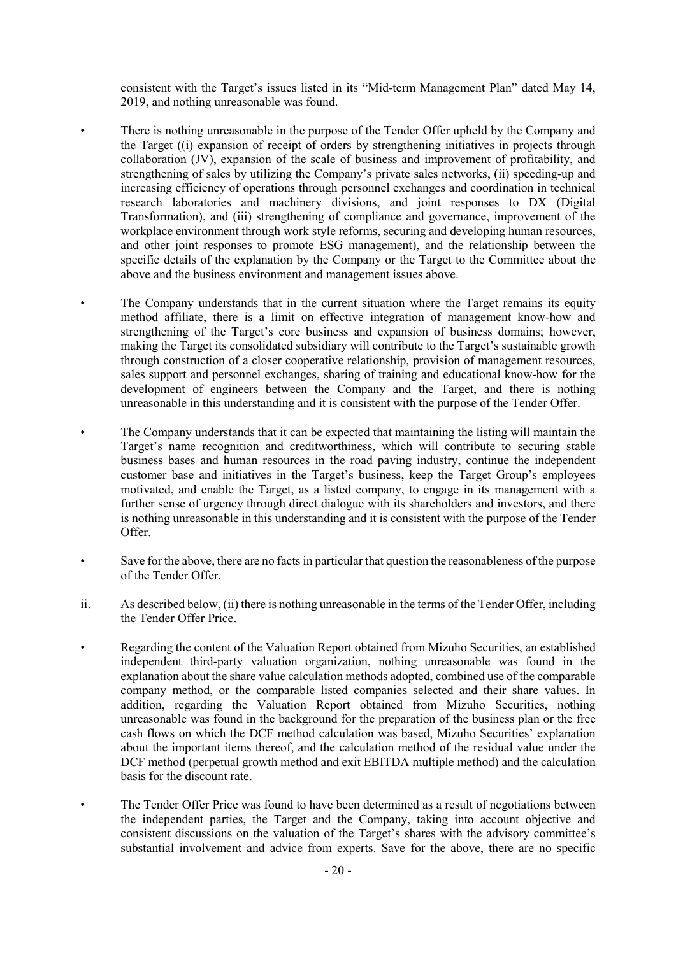consistent with the Target's issues listed in its "Mid-term Management Plan" dated May 14, 2019, and nothing unreasonable was found.

- There is nothing unreasonable in the purpose of the Tender Offer upheld by the Company and the Target ((i) expansion of receipt of orders by strengthening initiatives in projects through collaboration (JV), expansion of the scale of business and improvement of profitability, and strengthening of sales by utilizing the Company's private sales networks, (ii) speeding-up and increasing efficiency of operations through personnel exchanges and coordination in technical research laboratories and machinery divisions, and joint responses to DX (Digital Transformation), and (iii) strengthening of compliance and governance, improvement of the workplace environment through work style reforms, securing and developing human resources, and other joint responses to promote ESG management), and the relationship between the specific details of the explanation by the Company or the Target to the Committee about the above and the business environment and management issues above.
- The Company understands that in the current situation where the Target remains its equity method affiliate, there is a limit on effective integration of management know-how and strengthening of the Target's core business and expansion of business domains; however, making the Target its consolidated subsidiary will contribute to the Target's sustainable growth through construction of a closer cooperative relationship, provision of management resources, sales support and personnel exchanges, sharing of training and educational know-how for the development of engineers between the Company and the Target, and there is nothing unreasonable in this understanding and it is consistent with the purpose of the Tender Offer.
- The Company understands that it can be expected that maintaining the listing will maintain the Target's name recognition and creditworthiness, which will contribute to securing stable business bases and human resources in the road paving industry, continue the independent customer base and initiatives in the Target's business, keep the Target Group's employees motivated, and enable the Target, as a listed company, to engage in its management with a further sense of urgency through direct dialogue with its shareholders and investors, and there is nothing unreasonable in this understanding and it is consistent with the purpose of the Tender Offer.
- Save for the above, there are no facts in particular that question the reasonableness of the purpose of the Tender Offer.
- ii. As described below, (ii) there is nothing unreasonable in the terms of the Tender Offer, including the Tender Offer Price.
- Regarding the content of the Valuation Report obtained from Mizuho Securities, an established independent third-party valuation organization, nothing unreasonable was found in the explanation about the share value calculation methods adopted, combined use of the comparable company method, or the comparable listed companies selected and their share values. In addition, regarding the Valuation Report obtained from Mizuho Securities, nothing unreasonable was found in the background for the preparation of the business plan or the free cash flows on which the DCF method calculation was based, Mizuho Securities' explanation about the important items thereof, and the calculation method of the residual value under the DCF method (perpetual growth method and exit EBITDA multiple method) and the calculation basis for the discount rate.
- The Tender Offer Price was found to have been determined as a result of negotiations between the independent parties, the Target and the Company, taking into account objective and consistent discussions on the valuation of the Target's shares with the advisory committee's substantial involvement and advice from experts. Save for the above, there are no specific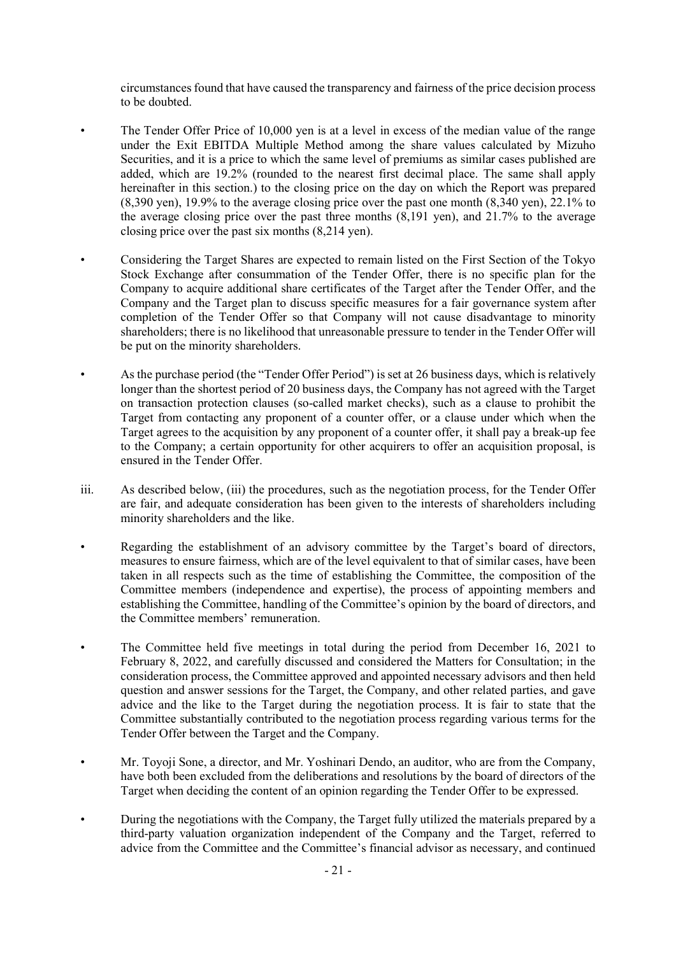circumstances found that have caused the transparency and fairness of the price decision process to be doubted.

- The Tender Offer Price of 10,000 yen is at a level in excess of the median value of the range under the Exit EBITDA Multiple Method among the share values calculated by Mizuho Securities, and it is a price to which the same level of premiums as similar cases published are added, which are 19.2% (rounded to the nearest first decimal place. The same shall apply hereinafter in this section.) to the closing price on the day on which the Report was prepared (8,390 yen), 19.9% to the average closing price over the past one month (8,340 yen), 22.1% to the average closing price over the past three months  $(8,191 \text{ yen})$ , and  $21.7\%$  to the average closing price over the past six months (8,214 yen).
- Considering the Target Shares are expected to remain listed on the First Section of the Tokyo Stock Exchange after consummation of the Tender Offer, there is no specific plan for the Company to acquire additional share certificates of the Target after the Tender Offer, and the Company and the Target plan to discuss specific measures for a fair governance system after completion of the Tender Offer so that Company will not cause disadvantage to minority shareholders; there is no likelihood that unreasonable pressure to tender in the Tender Offer will be put on the minority shareholders.
- As the purchase period (the "Tender Offer Period") is set at 26 business days, which is relatively longer than the shortest period of 20 business days, the Company has not agreed with the Target on transaction protection clauses (so-called market checks), such as a clause to prohibit the Target from contacting any proponent of a counter offer, or a clause under which when the Target agrees to the acquisition by any proponent of a counter offer, it shall pay a break-up fee to the Company; a certain opportunity for other acquirers to offer an acquisition proposal, is ensured in the Tender Offer.
- iii. As described below, (iii) the procedures, such as the negotiation process, for the Tender Offer are fair, and adequate consideration has been given to the interests of shareholders including minority shareholders and the like.
- Regarding the establishment of an advisory committee by the Target's board of directors, measures to ensure fairness, which are of the level equivalent to that of similar cases, have been taken in all respects such as the time of establishing the Committee, the composition of the Committee members (independence and expertise), the process of appointing members and establishing the Committee, handling of the Committee's opinion by the board of directors, and the Committee members' remuneration.
- The Committee held five meetings in total during the period from December 16, 2021 to February 8, 2022, and carefully discussed and considered the Matters for Consultation; in the consideration process, the Committee approved and appointed necessary advisors and then held question and answer sessions for the Target, the Company, and other related parties, and gave advice and the like to the Target during the negotiation process. It is fair to state that the Committee substantially contributed to the negotiation process regarding various terms for the Tender Offer between the Target and the Company.
- Mr. Toyoji Sone, a director, and Mr. Yoshinari Dendo, an auditor, who are from the Company, have both been excluded from the deliberations and resolutions by the board of directors of the Target when deciding the content of an opinion regarding the Tender Offer to be expressed.
- During the negotiations with the Company, the Target fully utilized the materials prepared by a third-party valuation organization independent of the Company and the Target, referred to advice from the Committee and the Committee's financial advisor as necessary, and continued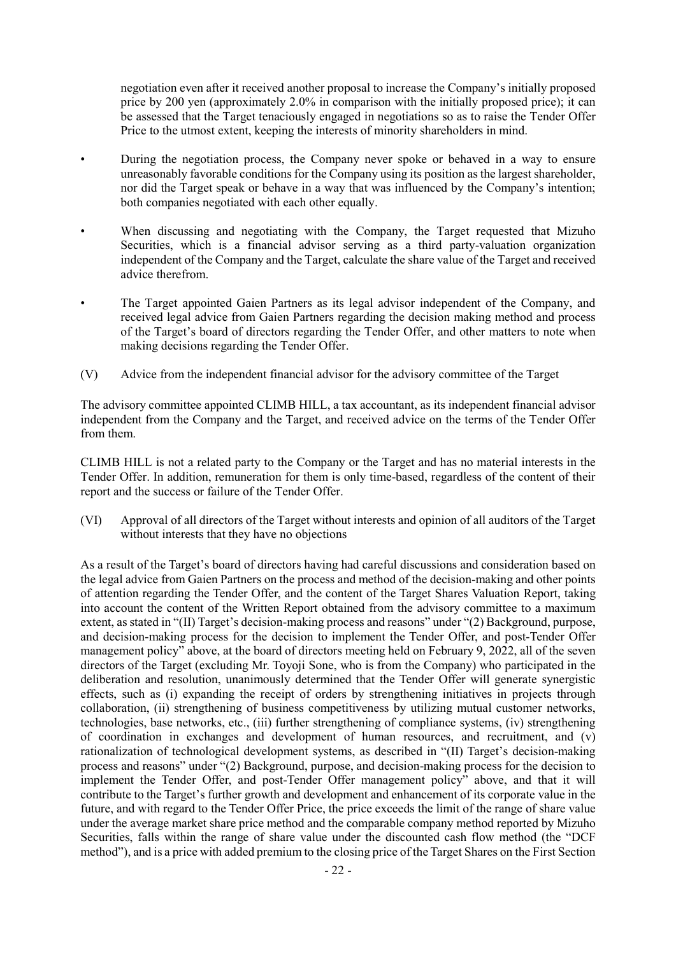negotiation even after it received another proposal to increase the Company's initially proposed price by 200 yen (approximately 2.0% in comparison with the initially proposed price); it can be assessed that the Target tenaciously engaged in negotiations so as to raise the Tender Offer Price to the utmost extent, keeping the interests of minority shareholders in mind.

- During the negotiation process, the Company never spoke or behaved in a way to ensure unreasonably favorable conditions for the Company using its position as the largest shareholder, nor did the Target speak or behave in a way that was influenced by the Company's intention; both companies negotiated with each other equally.
- When discussing and negotiating with the Company, the Target requested that Mizuho Securities, which is a financial advisor serving as a third party-valuation organization independent of the Company and the Target, calculate the share value of the Target and received advice therefrom.
- The Target appointed Gaien Partners as its legal advisor independent of the Company, and received legal advice from Gaien Partners regarding the decision making method and process of the Target's board of directors regarding the Tender Offer, and other matters to note when making decisions regarding the Tender Offer.
- (V) Advice from the independent financial advisor for the advisory committee of the Target

The advisory committee appointed CLIMB HILL, a tax accountant, as its independent financial advisor independent from the Company and the Target, and received advice on the terms of the Tender Offer from them.

CLIMB HILL is not a related party to the Company or the Target and has no material interests in the Tender Offer. In addition, remuneration for them is only time-based, regardless of the content of their report and the success or failure of the Tender Offer.

(VI) Approval of all directors of the Target without interests and opinion of all auditors of the Target without interests that they have no objections

As a result of the Target's board of directors having had careful discussions and consideration based on the legal advice from Gaien Partners on the process and method of the decision-making and other points of attention regarding the Tender Offer, and the content of the Target Shares Valuation Report, taking into account the content of the Written Report obtained from the advisory committee to a maximum extent, as stated in "(II) Target's decision-making process and reasons" under "(2) Background, purpose, and decision-making process for the decision to implement the Tender Offer, and post-Tender Offer management policy" above, at the board of directors meeting held on February 9, 2022, all of the seven directors of the Target (excluding Mr. Toyoji Sone, who is from the Company) who participated in the deliberation and resolution, unanimously determined that the Tender Offer will generate synergistic effects, such as (i) expanding the receipt of orders by strengthening initiatives in projects through collaboration, (ii) strengthening of business competitiveness by utilizing mutual customer networks, technologies, base networks, etc., (iii) further strengthening of compliance systems, (iv) strengthening of coordination in exchanges and development of human resources, and recruitment, and (v) rationalization of technological development systems, as described in "(II) Target's decision-making process and reasons" under "(2) Background, purpose, and decision-making process for the decision to implement the Tender Offer, and post-Tender Offer management policy" above, and that it will contribute to the Target's further growth and development and enhancement of its corporate value in the future, and with regard to the Tender Offer Price, the price exceeds the limit of the range of share value under the average market share price method and the comparable company method reported by Mizuho Securities, falls within the range of share value under the discounted cash flow method (the "DCF method"), and is a price with added premium to the closing price of the Target Shares on the First Section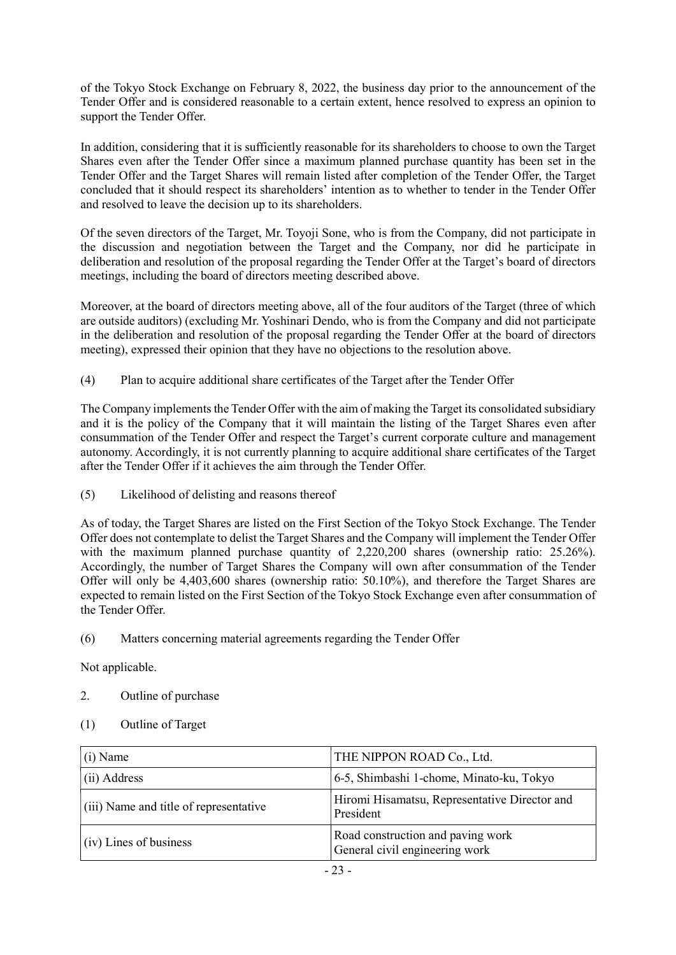of the Tokyo Stock Exchange on February 8, 2022, the business day prior to the announcement of the Tender Offer and is considered reasonable to a certain extent, hence resolved to express an opinion to support the Tender Offer.

In addition, considering that it is sufficiently reasonable for its shareholders to choose to own the Target Shares even after the Tender Offer since a maximum planned purchase quantity has been set in the Tender Offer and the Target Shares will remain listed after completion of the Tender Offer, the Target concluded that it should respect its shareholders' intention as to whether to tender in the Tender Offer and resolved to leave the decision up to its shareholders.

Of the seven directors of the Target, Mr. Toyoji Sone, who is from the Company, did not participate in the discussion and negotiation between the Target and the Company, nor did he participate in deliberation and resolution of the proposal regarding the Tender Offer at the Target's board of directors meetings, including the board of directors meeting described above.

Moreover, at the board of directors meeting above, all of the four auditors of the Target (three of which are outside auditors) (excluding Mr. Yoshinari Dendo, who is from the Company and did not participate in the deliberation and resolution of the proposal regarding the Tender Offer at the board of directors meeting), expressed their opinion that they have no objections to the resolution above.

(4) Plan to acquire additional share certificates of the Target after the Tender Offer

The Company implements the Tender Offer with the aim of making the Target its consolidated subsidiary and it is the policy of the Company that it will maintain the listing of the Target Shares even after consummation of the Tender Offer and respect the Target's current corporate culture and management autonomy. Accordingly, it is not currently planning to acquire additional share certificates of the Target after the Tender Offer if it achieves the aim through the Tender Offer.

(5) Likelihood of delisting and reasons thereof

As of today, the Target Shares are listed on the First Section of the Tokyo Stock Exchange. The Tender Offer does not contemplate to delist the Target Shares and the Company will implement the Tender Offer with the maximum planned purchase quantity of 2,220,200 shares (ownership ratio: 25.26%). Accordingly, the number of Target Shares the Company will own after consummation of the Tender Offer will only be 4,403,600 shares (ownership ratio: 50.10%), and therefore the Target Shares are expected to remain listed on the First Section of the Tokyo Stock Exchange even after consummation of the Tender Offer.

(6) Matters concerning material agreements regarding the Tender Offer

Not applicable.

- 2. Outline of purchase
- (1) Outline of Target

| $(i)$ Name                             | THE NIPPON ROAD Co., Ltd.                                           |
|----------------------------------------|---------------------------------------------------------------------|
| (ii) Address                           | 6-5, Shimbashi 1-chome, Minato-ku, Tokyo                            |
| (iii) Name and title of representative | Hiromi Hisamatsu, Representative Director and<br>President          |
| (iv) Lines of business                 | Road construction and paving work<br>General civil engineering work |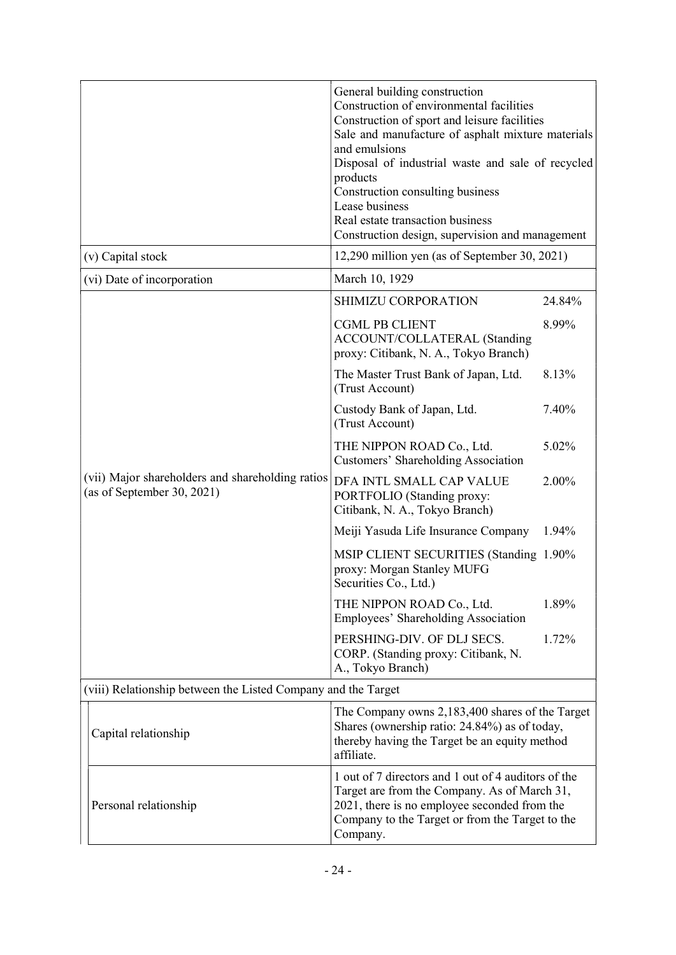|                                                                                |                                                                                                       | General building construction<br>Construction of environmental facilities<br>Construction of sport and leisure facilities<br>Sale and manufacture of asphalt mixture materials<br>and emulsions<br>Disposal of industrial waste and sale of recycled<br>products<br>Construction consulting business<br>Lease business<br>Real estate transaction business<br>Construction design, supervision and management |        |
|--------------------------------------------------------------------------------|-------------------------------------------------------------------------------------------------------|---------------------------------------------------------------------------------------------------------------------------------------------------------------------------------------------------------------------------------------------------------------------------------------------------------------------------------------------------------------------------------------------------------------|--------|
| (v) Capital stock                                                              |                                                                                                       | 12,290 million yen (as of September 30, 2021)                                                                                                                                                                                                                                                                                                                                                                 |        |
| (vi) Date of incorporation                                                     |                                                                                                       | March 10, 1929                                                                                                                                                                                                                                                                                                                                                                                                |        |
|                                                                                |                                                                                                       | SHIMIZU CORPORATION                                                                                                                                                                                                                                                                                                                                                                                           | 24.84% |
| (vii) Major shareholders and shareholding ratios<br>(as of September 30, 2021) | <b>CGML PB CLIENT</b><br><b>ACCOUNT/COLLATERAL (Standing</b><br>proxy: Citibank, N. A., Tokyo Branch) | 8.99%                                                                                                                                                                                                                                                                                                                                                                                                         |        |
|                                                                                | The Master Trust Bank of Japan, Ltd.<br>(Trust Account)                                               | 8.13%                                                                                                                                                                                                                                                                                                                                                                                                         |        |
|                                                                                | Custody Bank of Japan, Ltd.<br>(Trust Account)                                                        | 7.40%                                                                                                                                                                                                                                                                                                                                                                                                         |        |
|                                                                                | THE NIPPON ROAD Co., Ltd.<br>Customers' Shareholding Association                                      | 5.02%                                                                                                                                                                                                                                                                                                                                                                                                         |        |
|                                                                                | DFA INTL SMALL CAP VALUE<br>PORTFOLIO (Standing proxy:<br>Citibank, N. A., Tokyo Branch)              | 2.00%                                                                                                                                                                                                                                                                                                                                                                                                         |        |
|                                                                                |                                                                                                       | Meiji Yasuda Life Insurance Company                                                                                                                                                                                                                                                                                                                                                                           | 1.94%  |
|                                                                                | MSIP CLIENT SECURITIES (Standing 1.90%<br>proxy: Morgan Stanley MUFG<br>Securities Co., Ltd.)         |                                                                                                                                                                                                                                                                                                                                                                                                               |        |
|                                                                                |                                                                                                       | THE NIPPON ROAD Co., Ltd.<br>Employees' Shareholding Association                                                                                                                                                                                                                                                                                                                                              | 1.89%  |
|                                                                                | PERSHING-DIV. OF DLJ SECS.<br>CORP. (Standing proxy: Citibank, N.<br>A., Tokyo Branch)                | 1.72%                                                                                                                                                                                                                                                                                                                                                                                                         |        |
| (viii) Relationship between the Listed Company and the Target                  |                                                                                                       |                                                                                                                                                                                                                                                                                                                                                                                                               |        |
| Capital relationship                                                           |                                                                                                       | The Company owns 2,183,400 shares of the Target<br>Shares (ownership ratio: 24.84%) as of today,<br>thereby having the Target be an equity method<br>affiliate.                                                                                                                                                                                                                                               |        |
| Personal relationship                                                          |                                                                                                       | 1 out of 7 directors and 1 out of 4 auditors of the<br>Target are from the Company. As of March 31,<br>2021, there is no employee seconded from the<br>Company to the Target or from the Target to the<br>Company.                                                                                                                                                                                            |        |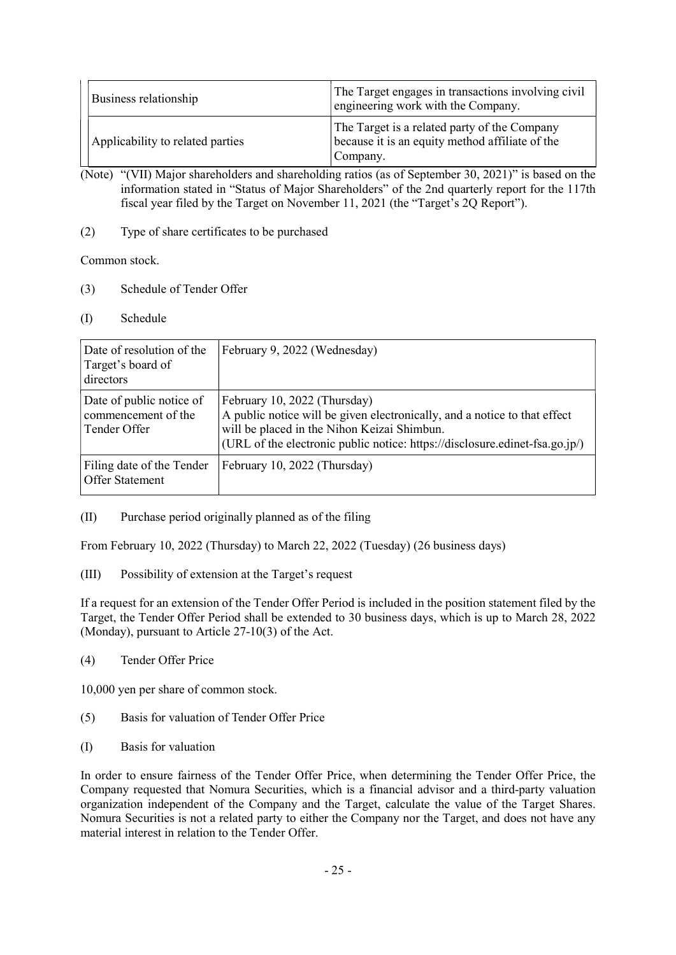| Business relationship            | The Target engages in transactions involving civil<br>engineering work with the Company.                    |
|----------------------------------|-------------------------------------------------------------------------------------------------------------|
| Applicability to related parties | The Target is a related party of the Company<br>because it is an equity method affiliate of the<br>Company. |

- (Note) "(VII) Major shareholders and shareholding ratios (as of September 30, 2021)" is based on the information stated in "Status of Major Shareholders" of the 2nd quarterly report for the 117th fiscal year filed by the Target on November 11, 2021 (the "Target's 2Q Report").
- (2) Type of share certificates to be purchased

Common stock.

- (3) Schedule of Tender Offer
- (I) Schedule

| Date of resolution of the<br>Target's board of<br>directors     | February 9, 2022 (Wednesday)                                                                                                                                                                                                            |
|-----------------------------------------------------------------|-----------------------------------------------------------------------------------------------------------------------------------------------------------------------------------------------------------------------------------------|
| Date of public notice of<br>commencement of the<br>Tender Offer | February 10, 2022 (Thursday)<br>A public notice will be given electronically, and a notice to that effect<br>will be placed in the Nihon Keizai Shimbun.<br>(URL of the electronic public notice: https://disclosure.edinet-fsa.go.jp/) |
| Filing date of the Tender<br>Offer Statement                    | February 10, 2022 (Thursday)                                                                                                                                                                                                            |

(II) Purchase period originally planned as of the filing

From February 10, 2022 (Thursday) to March 22, 2022 (Tuesday) (26 business days)

(III) Possibility of extension at the Target's request

If a request for an extension of the Tender Offer Period is included in the position statement filed by the Target, the Tender Offer Period shall be extended to 30 business days, which is up to March 28, 2022 (Monday), pursuant to Article 27-10(3) of the Act.

(4) Tender Offer Price

10,000 yen per share of common stock.

- (5) Basis for valuation of Tender Offer Price
- (I) Basis for valuation

In order to ensure fairness of the Tender Offer Price, when determining the Tender Offer Price, the Company requested that Nomura Securities, which is a financial advisor and a third-party valuation organization independent of the Company and the Target, calculate the value of the Target Shares. Nomura Securities is not a related party to either the Company nor the Target, and does not have any material interest in relation to the Tender Offer.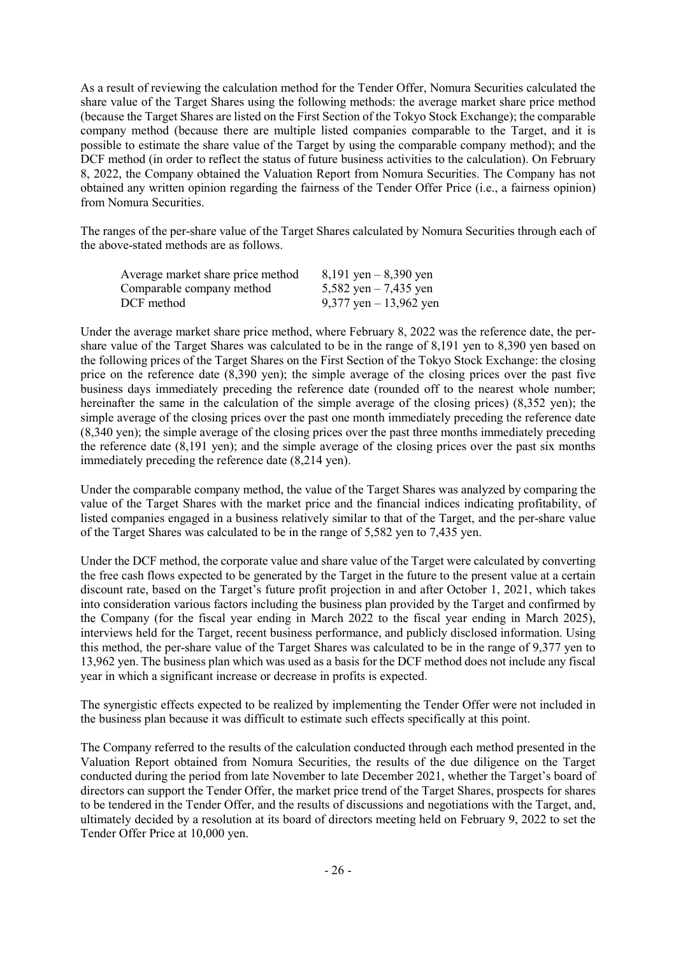As a result of reviewing the calculation method for the Tender Offer, Nomura Securities calculated the share value of the Target Shares using the following methods: the average market share price method (because the Target Shares are listed on the First Section of the Tokyo Stock Exchange); the comparable company method (because there are multiple listed companies comparable to the Target, and it is possible to estimate the share value of the Target by using the comparable company method); and the DCF method (in order to reflect the status of future business activities to the calculation). On February 8, 2022, the Company obtained the Valuation Report from Nomura Securities. The Company has not obtained any written opinion regarding the fairness of the Tender Offer Price (i.e., a fairness opinion) from Nomura Securities.

The ranges of the per-share value of the Target Shares calculated by Nomura Securities through each of the above-stated methods are as follows.

| Average market share price method | 8,191 yen $-8,390$ yen  |
|-----------------------------------|-------------------------|
| Comparable company method         | 5,582 yen $-7,435$ yen  |
| DCF method                        | 9,377 yen $-13,962$ yen |

Under the average market share price method, where February 8, 2022 was the reference date, the pershare value of the Target Shares was calculated to be in the range of 8,191 yen to 8,390 yen based on the following prices of the Target Shares on the First Section of the Tokyo Stock Exchange: the closing price on the reference date (8,390 yen); the simple average of the closing prices over the past five business days immediately preceding the reference date (rounded off to the nearest whole number; hereinafter the same in the calculation of the simple average of the closing prices) (8,352 yen); the simple average of the closing prices over the past one month immediately preceding the reference date (8,340 yen); the simple average of the closing prices over the past three months immediately preceding the reference date  $(8,191 \text{ yen})$ ; and the simple average of the closing prices over the past six months immediately preceding the reference date (8,214 yen).

Under the comparable company method, the value of the Target Shares was analyzed by comparing the value of the Target Shares with the market price and the financial indices indicating profitability, of listed companies engaged in a business relatively similar to that of the Target, and the per-share value of the Target Shares was calculated to be in the range of 5,582 yen to 7,435 yen.

Under the DCF method, the corporate value and share value of the Target were calculated by converting the free cash flows expected to be generated by the Target in the future to the present value at a certain discount rate, based on the Target's future profit projection in and after October 1, 2021, which takes into consideration various factors including the business plan provided by the Target and confirmed by the Company (for the fiscal year ending in March 2022 to the fiscal year ending in March 2025), interviews held for the Target, recent business performance, and publicly disclosed information. Using this method, the per-share value of the Target Shares was calculated to be in the range of 9,377 yen to 13,962 yen. The business plan which was used as a basis for the DCF method does not include any fiscal year in which a significant increase or decrease in profits is expected.

The synergistic effects expected to be realized by implementing the Tender Offer were not included in the business plan because it was difficult to estimate such effects specifically at this point.

The Company referred to the results of the calculation conducted through each method presented in the Valuation Report obtained from Nomura Securities, the results of the due diligence on the Target conducted during the period from late November to late December 2021, whether the Target's board of directors can support the Tender Offer, the market price trend of the Target Shares, prospects for shares to be tendered in the Tender Offer, and the results of discussions and negotiations with the Target, and, ultimately decided by a resolution at its board of directors meeting held on February 9, 2022 to set the Tender Offer Price at 10,000 yen.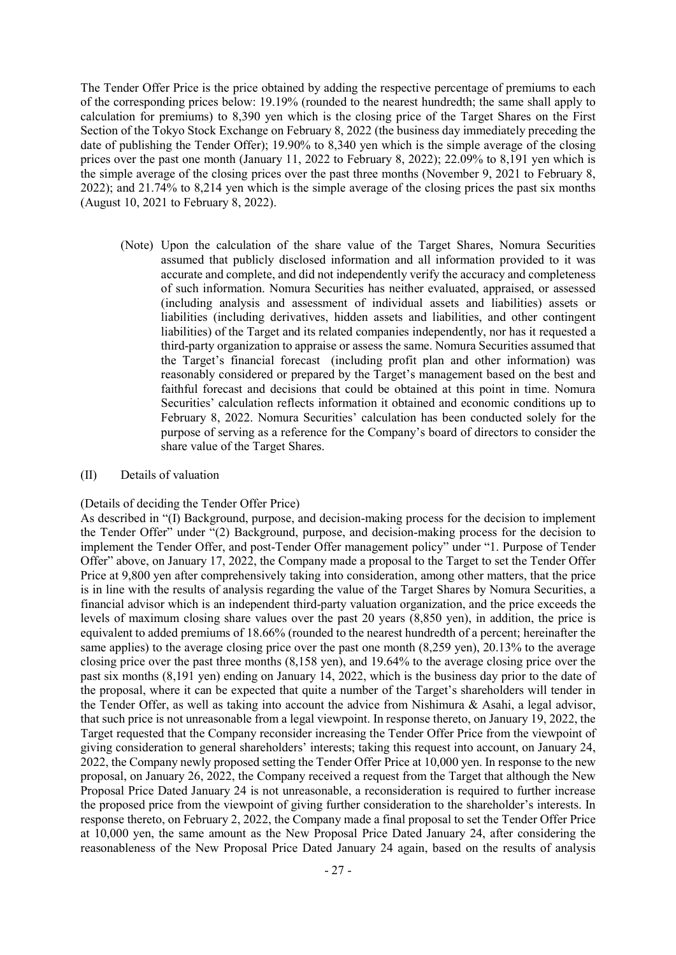The Tender Offer Price is the price obtained by adding the respective percentage of premiums to each of the corresponding prices below: 19.19% (rounded to the nearest hundredth; the same shall apply to calculation for premiums) to 8,390 yen which is the closing price of the Target Shares on the First Section of the Tokyo Stock Exchange on February 8, 2022 (the business day immediately preceding the date of publishing the Tender Offer); 19.90% to 8,340 yen which is the simple average of the closing prices over the past one month (January 11, 2022 to February 8, 2022); 22.09% to 8,191 yen which is the simple average of the closing prices over the past three months (November 9, 2021 to February 8, 2022); and 21.74% to 8,214 yen which is the simple average of the closing prices the past six months (August 10, 2021 to February 8, 2022).

(Note) Upon the calculation of the share value of the Target Shares, Nomura Securities assumed that publicly disclosed information and all information provided to it was accurate and complete, and did not independently verify the accuracy and completeness of such information. Nomura Securities has neither evaluated, appraised, or assessed (including analysis and assessment of individual assets and liabilities) assets or liabilities (including derivatives, hidden assets and liabilities, and other contingent liabilities) of the Target and its related companies independently, nor has it requested a third-party organization to appraise or assess the same. Nomura Securities assumed that the Target's financial forecast (including profit plan and other information) was reasonably considered or prepared by the Target's management based on the best and faithful forecast and decisions that could be obtained at this point in time. Nomura Securities' calculation reflects information it obtained and economic conditions up to February 8, 2022. Nomura Securities' calculation has been conducted solely for the purpose of serving as a reference for the Company's board of directors to consider the share value of the Target Shares.

#### (II) Details of valuation

### (Details of deciding the Tender Offer Price)

As described in "(I) Background, purpose, and decision-making process for the decision to implement the Tender Offer" under "(2) Background, purpose, and decision-making process for the decision to implement the Tender Offer, and post-Tender Offer management policy" under "1. Purpose of Tender Offer" above, on January 17, 2022, the Company made a proposal to the Target to set the Tender Offer Price at 9,800 yen after comprehensively taking into consideration, among other matters, that the price is in line with the results of analysis regarding the value of the Target Shares by Nomura Securities, a financial advisor which is an independent third-party valuation organization, and the price exceeds the levels of maximum closing share values over the past 20 years (8,850 yen), in addition, the price is equivalent to added premiums of 18.66% (rounded to the nearest hundredth of a percent; hereinafter the same applies) to the average closing price over the past one month (8,259 yen), 20.13% to the average closing price over the past three months (8,158 yen), and 19.64% to the average closing price over the past six months (8,191 yen) ending on January 14, 2022, which is the business day prior to the date of the proposal, where it can be expected that quite a number of the Target's shareholders will tender in the Tender Offer, as well as taking into account the advice from Nishimura & Asahi, a legal advisor, that such price is not unreasonable from a legal viewpoint. In response thereto, on January 19, 2022, the Target requested that the Company reconsider increasing the Tender Offer Price from the viewpoint of giving consideration to general shareholders' interests; taking this request into account, on January 24, 2022, the Company newly proposed setting the Tender Offer Price at 10,000 yen. In response to the new proposal, on January 26, 2022, the Company received a request from the Target that although the New Proposal Price Dated January 24 is not unreasonable, a reconsideration is required to further increase the proposed price from the viewpoint of giving further consideration to the shareholder's interests. In response thereto, on February 2, 2022, the Company made a final proposal to set the Tender Offer Price at 10,000 yen, the same amount as the New Proposal Price Dated January 24, after considering the reasonableness of the New Proposal Price Dated January 24 again, based on the results of analysis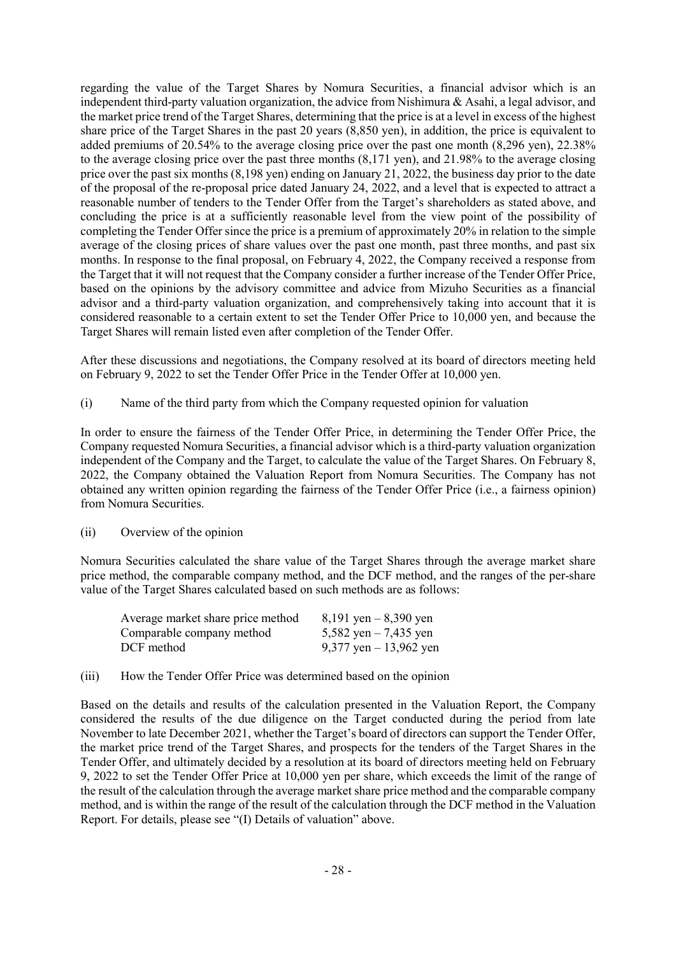regarding the value of the Target Shares by Nomura Securities, a financial advisor which is an independent third-party valuation organization, the advice from Nishimura & Asahi, a legal advisor, and the market price trend of the Target Shares, determining that the price is at a level in excess of the highest share price of the Target Shares in the past 20 years (8,850 yen), in addition, the price is equivalent to added premiums of 20.54% to the average closing price over the past one month (8,296 yen), 22.38% to the average closing price over the past three months (8,171 yen), and 21.98% to the average closing price over the past six months (8,198 yen) ending on January 21, 2022, the business day prior to the date of the proposal of the re-proposal price dated January 24, 2022, and a level that is expected to attract a reasonable number of tenders to the Tender Offer from the Target's shareholders as stated above, and concluding the price is at a sufficiently reasonable level from the view point of the possibility of completing the Tender Offer since the price is a premium of approximately 20% in relation to the simple average of the closing prices of share values over the past one month, past three months, and past six months. In response to the final proposal, on February 4, 2022, the Company received a response from the Target that it will not request that the Company consider a further increase of the Tender Offer Price, based on the opinions by the advisory committee and advice from Mizuho Securities as a financial advisor and a third-party valuation organization, and comprehensively taking into account that it is considered reasonable to a certain extent to set the Tender Offer Price to 10,000 yen, and because the Target Shares will remain listed even after completion of the Tender Offer.

After these discussions and negotiations, the Company resolved at its board of directors meeting held on February 9, 2022 to set the Tender Offer Price in the Tender Offer at 10,000 yen.

(i) Name of the third party from which the Company requested opinion for valuation

In order to ensure the fairness of the Tender Offer Price, in determining the Tender Offer Price, the Company requested Nomura Securities, a financial advisor which is a third-party valuation organization independent of the Company and the Target, to calculate the value of the Target Shares. On February 8, 2022, the Company obtained the Valuation Report from Nomura Securities. The Company has not obtained any written opinion regarding the fairness of the Tender Offer Price (i.e., a fairness opinion) from Nomura Securities.

(ii) Overview of the opinion

Nomura Securities calculated the share value of the Target Shares through the average market share price method, the comparable company method, and the DCF method, and the ranges of the per-share value of the Target Shares calculated based on such methods are as follows:

| Average market share price method | 8,191 yen $-8,390$ yen  |
|-----------------------------------|-------------------------|
| Comparable company method         | 5,582 yen $-7,435$ yen  |
| DCF method                        | 9,377 yen $-13,962$ yen |

## (iii) How the Tender Offer Price was determined based on the opinion

Based on the details and results of the calculation presented in the Valuation Report, the Company considered the results of the due diligence on the Target conducted during the period from late November to late December 2021, whether the Target's board of directors can support the Tender Offer, the market price trend of the Target Shares, and prospects for the tenders of the Target Shares in the Tender Offer, and ultimately decided by a resolution at its board of directors meeting held on February 9, 2022 to set the Tender Offer Price at 10,000 yen per share, which exceeds the limit of the range of the result of the calculation through the average market share price method and the comparable company method, and is within the range of the result of the calculation through the DCF method in the Valuation Report. For details, please see "(I) Details of valuation" above.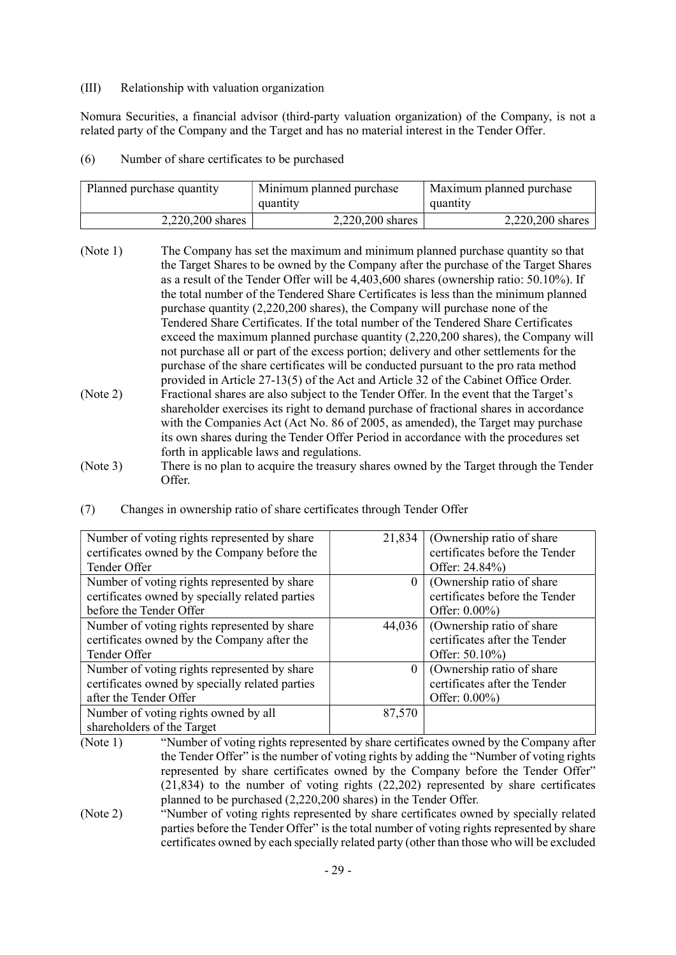### (III) Relationship with valuation organization

Nomura Securities, a financial advisor (third-party valuation organization) of the Company, is not a related party of the Company and the Target and has no material interest in the Tender Offer.

(6) Number of share certificates to be purchased

| Planned purchase quantity | Minimum planned purchase<br>quantity | Maximum planned purchase<br>quantity |
|---------------------------|--------------------------------------|--------------------------------------|
| 2,220,200 shares          | 2,220,200 shares                     | 2,220,200 shares                     |

- (Note 1) The Company has set the maximum and minimum planned purchase quantity so that the Target Shares to be owned by the Company after the purchase of the Target Shares as a result of the Tender Offer will be 4,403,600 shares (ownership ratio: 50.10%). If the total number of the Tendered Share Certificates is less than the minimum planned purchase quantity (2,220,200 shares), the Company will purchase none of the Tendered Share Certificates. If the total number of the Tendered Share Certificates exceed the maximum planned purchase quantity (2,220,200 shares), the Company will not purchase all or part of the excess portion; delivery and other settlements for the purchase of the share certificates will be conducted pursuant to the pro rata method provided in Article 27-13(5) of the Act and Article 32 of the Cabinet Office Order. (Note 2) Fractional shares are also subject to the Tender Offer. In the event that the Target's shareholder exercises its right to demand purchase of fractional shares in accordance with the Companies Act (Act No. 86 of 2005, as amended), the Target may purchase its own shares during the Tender Offer Period in accordance with the procedures set forth in applicable laws and regulations. (Note 3) There is no plan to acquire the treasury shares owned by the Target through the Tender Offer.
- (7) Changes in ownership ratio of share certificates through Tender Offer

| Number of voting rights represented by share    | 21,834           | (Ownership ratio of share)     |
|-------------------------------------------------|------------------|--------------------------------|
| certificates owned by the Company before the    |                  | certificates before the Tender |
| Tender Offer                                    |                  | Offer: 24.84%)                 |
| Number of voting rights represented by share    | $\boldsymbol{0}$ | (Ownership ratio of share      |
| certificates owned by specially related parties |                  | certificates before the Tender |
| before the Tender Offer                         |                  | Offer: $0.00\%$ )              |
| Number of voting rights represented by share    | 44,036           | (Ownership ratio of share)     |
| certificates owned by the Company after the     |                  | certificates after the Tender  |
| Tender Offer                                    |                  | Offer: 50.10%)                 |
| Number of voting rights represented by share    | $\theta$         | (Ownership ratio of share      |
| certificates owned by specially related parties |                  | certificates after the Tender  |
| after the Tender Offer                          |                  | Offer: 0.00%)                  |
| Number of voting rights owned by all            | 87,570           |                                |
| shareholders of the Target                      |                  |                                |

(Note 1) "Number of voting rights represented by share certificates owned by the Company after the Tender Offer" is the number of voting rights by adding the "Number of voting rights represented by share certificates owned by the Company before the Tender Offer" (21,834) to the number of voting rights (22,202) represented by share certificates planned to be purchased (2,220,200 shares) in the Tender Offer.

(Note 2) "Number of voting rights represented by share certificates owned by specially related parties before the Tender Offer" is the total number of voting rights represented by share certificates owned by each specially related party (other than those who will be excluded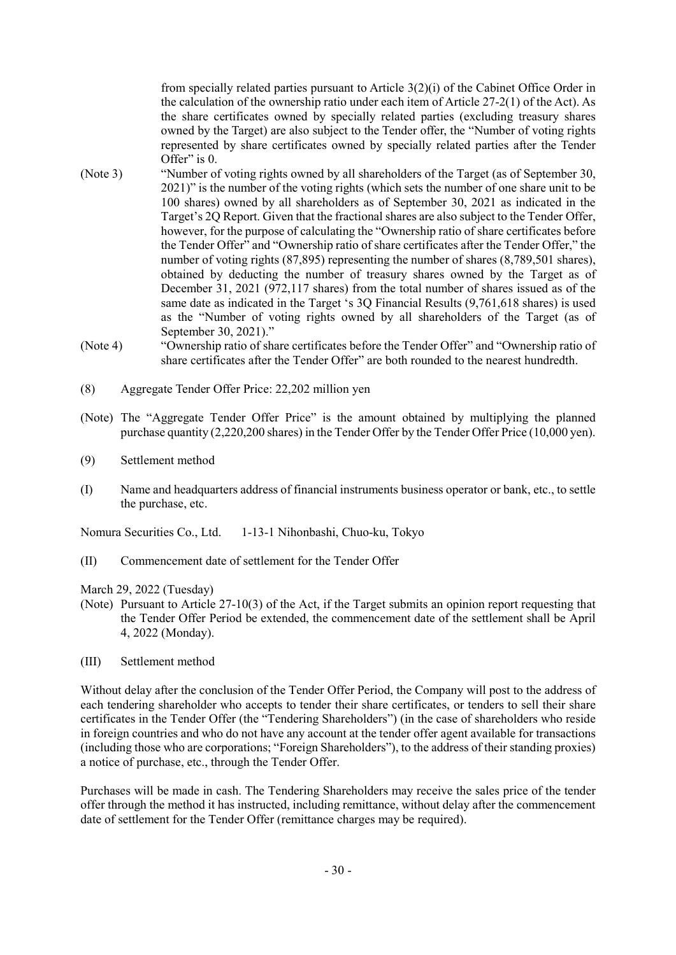from specially related parties pursuant to Article 3(2)(i) of the Cabinet Office Order in the calculation of the ownership ratio under each item of Article 27-2(1) of the Act). As the share certificates owned by specially related parties (excluding treasury shares owned by the Target) are also subject to the Tender offer, the "Number of voting rights represented by share certificates owned by specially related parties after the Tender Offer" is 0.

- (Note 3) "Number of voting rights owned by all shareholders of the Target (as of September 30, 2021)" is the number of the voting rights (which sets the number of one share unit to be 100 shares) owned by all shareholders as of September 30, 2021 as indicated in the Target's 2Q Report. Given that the fractional shares are also subject to the Tender Offer, however, for the purpose of calculating the "Ownership ratio of share certificates before the Tender Offer" and "Ownership ratio of share certificates after the Tender Offer," the number of voting rights (87,895) representing the number of shares (8,789,501 shares), obtained by deducting the number of treasury shares owned by the Target as of December 31, 2021 (972,117 shares) from the total number of shares issued as of the same date as indicated in the Target 's 3Q Financial Results (9,761,618 shares) is used as the "Number of voting rights owned by all shareholders of the Target (as of September 30, 2021)."
- (Note 4) "Ownership ratio of share certificates before the Tender Offer" and "Ownership ratio of share certificates after the Tender Offer" are both rounded to the nearest hundredth.
- (8) Aggregate Tender Offer Price: 22,202 million yen
- (Note) The "Aggregate Tender Offer Price" is the amount obtained by multiplying the planned purchase quantity (2,220,200 shares) in the Tender Offer by the Tender Offer Price (10,000 yen).
- (9) Settlement method
- (I) Name and headquarters address of financial instruments business operator or bank, etc., to settle the purchase, etc.

Nomura Securities Co., Ltd. 1-13-1 Nihonbashi, Chuo-ku, Tokyo

(II) Commencement date of settlement for the Tender Offer

March 29, 2022 (Tuesday)

- (Note) Pursuant to Article 27-10(3) of the Act, if the Target submits an opinion report requesting that the Tender Offer Period be extended, the commencement date of the settlement shall be April 4, 2022 (Monday).
- (III) Settlement method

Without delay after the conclusion of the Tender Offer Period, the Company will post to the address of each tendering shareholder who accepts to tender their share certificates, or tenders to sell their share certificates in the Tender Offer (the "Tendering Shareholders") (in the case of shareholders who reside in foreign countries and who do not have any account at the tender offer agent available for transactions (including those who are corporations; "Foreign Shareholders"), to the address of their standing proxies) a notice of purchase, etc., through the Tender Offer.

Purchases will be made in cash. The Tendering Shareholders may receive the sales price of the tender offer through the method it has instructed, including remittance, without delay after the commencement date of settlement for the Tender Offer (remittance charges may be required).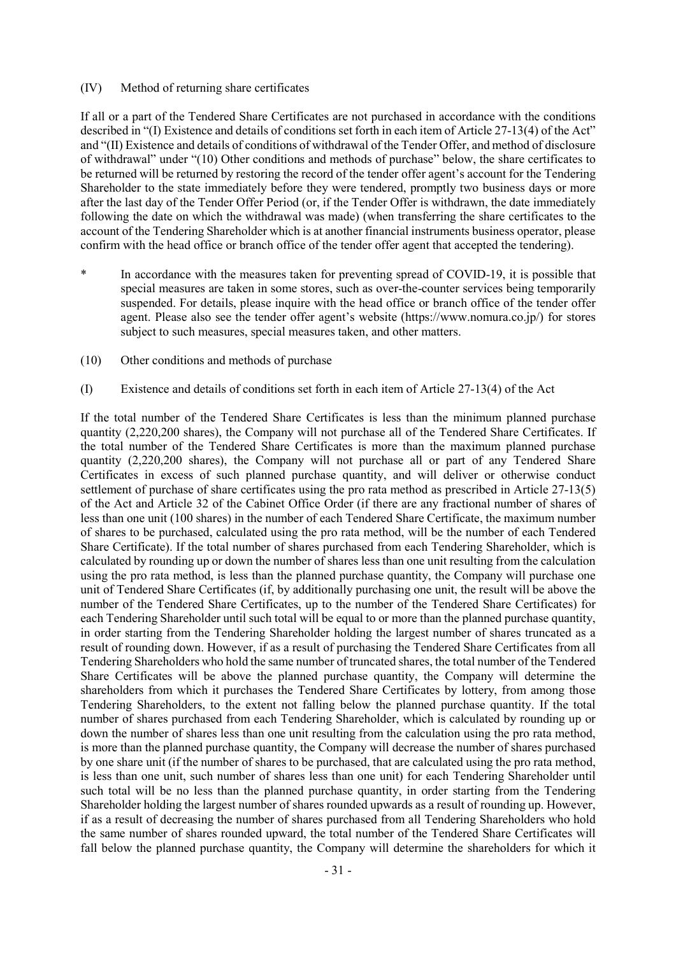#### (IV) Method of returning share certificates

If all or a part of the Tendered Share Certificates are not purchased in accordance with the conditions described in "(I) Existence and details of conditions set forth in each item of Article 27-13(4) of the Act" and "(II) Existence and details of conditions of withdrawal of the Tender Offer, and method of disclosure of withdrawal" under "(10) Other conditions and methods of purchase" below, the share certificates to be returned will be returned by restoring the record of the tender offer agent's account for the Tendering Shareholder to the state immediately before they were tendered, promptly two business days or more after the last day of the Tender Offer Period (or, if the Tender Offer is withdrawn, the date immediately following the date on which the withdrawal was made) (when transferring the share certificates to the account of the Tendering Shareholder which is at another financial instruments business operator, please confirm with the head office or branch office of the tender offer agent that accepted the tendering).

- In accordance with the measures taken for preventing spread of COVID-19, it is possible that special measures are taken in some stores, such as over-the-counter services being temporarily suspended. For details, please inquire with the head office or branch office of the tender offer agent. Please also see the tender offer agent's website (https://www.nomura.co.jp/) for stores subject to such measures, special measures taken, and other matters.
- (10) Other conditions and methods of purchase
- (I) Existence and details of conditions set forth in each item of Article 27-13(4) of the Act

If the total number of the Tendered Share Certificates is less than the minimum planned purchase quantity (2,220,200 shares), the Company will not purchase all of the Tendered Share Certificates. If the total number of the Tendered Share Certificates is more than the maximum planned purchase quantity (2,220,200 shares), the Company will not purchase all or part of any Tendered Share Certificates in excess of such planned purchase quantity, and will deliver or otherwise conduct settlement of purchase of share certificates using the pro rata method as prescribed in Article 27-13(5) of the Act and Article 32 of the Cabinet Office Order (if there are any fractional number of shares of less than one unit (100 shares) in the number of each Tendered Share Certificate, the maximum number of shares to be purchased, calculated using the pro rata method, will be the number of each Tendered Share Certificate). If the total number of shares purchased from each Tendering Shareholder, which is calculated by rounding up or down the number of shares less than one unit resulting from the calculation using the pro rata method, is less than the planned purchase quantity, the Company will purchase one unit of Tendered Share Certificates (if, by additionally purchasing one unit, the result will be above the number of the Tendered Share Certificates, up to the number of the Tendered Share Certificates) for each Tendering Shareholder until such total will be equal to or more than the planned purchase quantity, in order starting from the Tendering Shareholder holding the largest number of shares truncated as a result of rounding down. However, if as a result of purchasing the Tendered Share Certificates from all Tendering Shareholders who hold the same number of truncated shares, the total number of the Tendered Share Certificates will be above the planned purchase quantity, the Company will determine the shareholders from which it purchases the Tendered Share Certificates by lottery, from among those Tendering Shareholders, to the extent not falling below the planned purchase quantity. If the total number of shares purchased from each Tendering Shareholder, which is calculated by rounding up or down the number of shares less than one unit resulting from the calculation using the pro rata method, is more than the planned purchase quantity, the Company will decrease the number of shares purchased by one share unit (if the number of shares to be purchased, that are calculated using the pro rata method, is less than one unit, such number of shares less than one unit) for each Tendering Shareholder until such total will be no less than the planned purchase quantity, in order starting from the Tendering Shareholder holding the largest number of shares rounded upwards as a result of rounding up. However, if as a result of decreasing the number of shares purchased from all Tendering Shareholders who hold the same number of shares rounded upward, the total number of the Tendered Share Certificates will fall below the planned purchase quantity, the Company will determine the shareholders for which it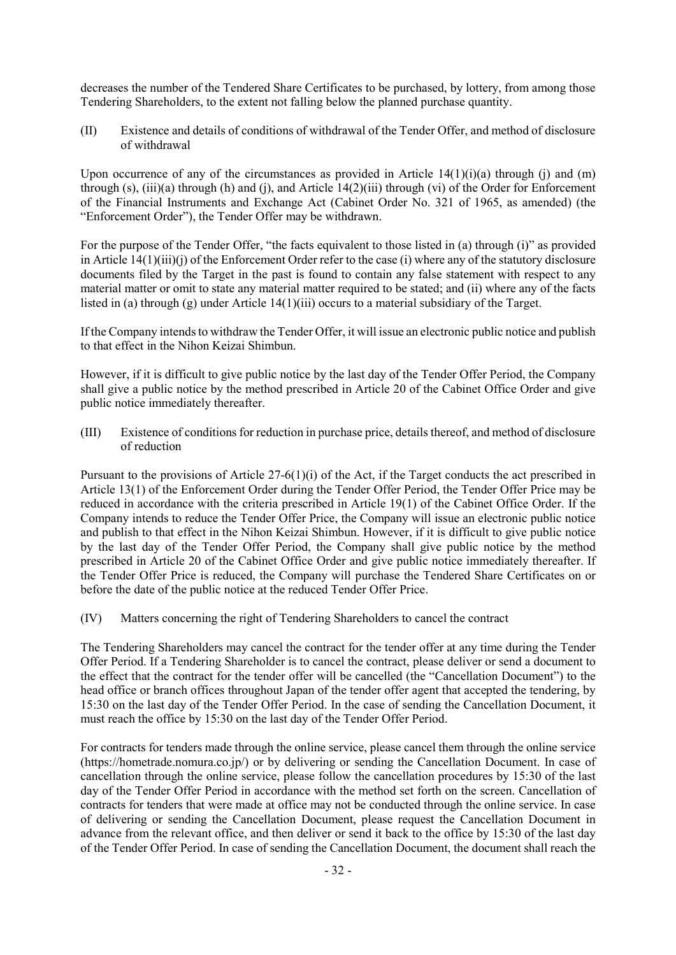decreases the number of the Tendered Share Certificates to be purchased, by lottery, from among those Tendering Shareholders, to the extent not falling below the planned purchase quantity.

(II) Existence and details of conditions of withdrawal of the Tender Offer, and method of disclosure of withdrawal

Upon occurrence of any of the circumstances as provided in Article  $14(1)(i)(a)$  through (j) and (m) through  $(s)$ ,  $(iii)(a)$  through  $(h)$  and  $(i)$ , and Article  $14(2)(iii)$  through  $(vi)$  of the Order for Enforcement of the Financial Instruments and Exchange Act (Cabinet Order No. 321 of 1965, as amended) (the "Enforcement Order"), the Tender Offer may be withdrawn.

For the purpose of the Tender Offer, "the facts equivalent to those listed in (a) through (i)" as provided in Article 14(1)(iii)(j) of the Enforcement Order refer to the case (i) where any of the statutory disclosure documents filed by the Target in the past is found to contain any false statement with respect to any material matter or omit to state any material matter required to be stated; and (ii) where any of the facts listed in (a) through (g) under Article 14(1)(iii) occurs to a material subsidiary of the Target.

If the Company intends to withdraw the Tender Offer, it will issue an electronic public notice and publish to that effect in the Nihon Keizai Shimbun.

However, if it is difficult to give public notice by the last day of the Tender Offer Period, the Company shall give a public notice by the method prescribed in Article 20 of the Cabinet Office Order and give public notice immediately thereafter.

(III) Existence of conditions for reduction in purchase price, details thereof, and method of disclosure of reduction

Pursuant to the provisions of Article 27-6(1)(i) of the Act, if the Target conducts the act prescribed in Article 13(1) of the Enforcement Order during the Tender Offer Period, the Tender Offer Price may be reduced in accordance with the criteria prescribed in Article 19(1) of the Cabinet Office Order. If the Company intends to reduce the Tender Offer Price, the Company will issue an electronic public notice and publish to that effect in the Nihon Keizai Shimbun. However, if it is difficult to give public notice by the last day of the Tender Offer Period, the Company shall give public notice by the method prescribed in Article 20 of the Cabinet Office Order and give public notice immediately thereafter. If the Tender Offer Price is reduced, the Company will purchase the Tendered Share Certificates on or before the date of the public notice at the reduced Tender Offer Price.

(IV) Matters concerning the right of Tendering Shareholders to cancel the contract

The Tendering Shareholders may cancel the contract for the tender offer at any time during the Tender Offer Period. If a Tendering Shareholder is to cancel the contract, please deliver or send a document to the effect that the contract for the tender offer will be cancelled (the "Cancellation Document") to the head office or branch offices throughout Japan of the tender offer agent that accepted the tendering, by 15:30 on the last day of the Tender Offer Period. In the case of sending the Cancellation Document, it must reach the office by 15:30 on the last day of the Tender Offer Period.

For contracts for tenders made through the online service, please cancel them through the online service (https://hometrade.nomura.co.jp/) or by delivering or sending the Cancellation Document. In case of cancellation through the online service, please follow the cancellation procedures by 15:30 of the last day of the Tender Offer Period in accordance with the method set forth on the screen. Cancellation of contracts for tenders that were made at office may not be conducted through the online service. In case of delivering or sending the Cancellation Document, please request the Cancellation Document in advance from the relevant office, and then deliver or send it back to the office by 15:30 of the last day of the Tender Offer Period. In case of sending the Cancellation Document, the document shall reach the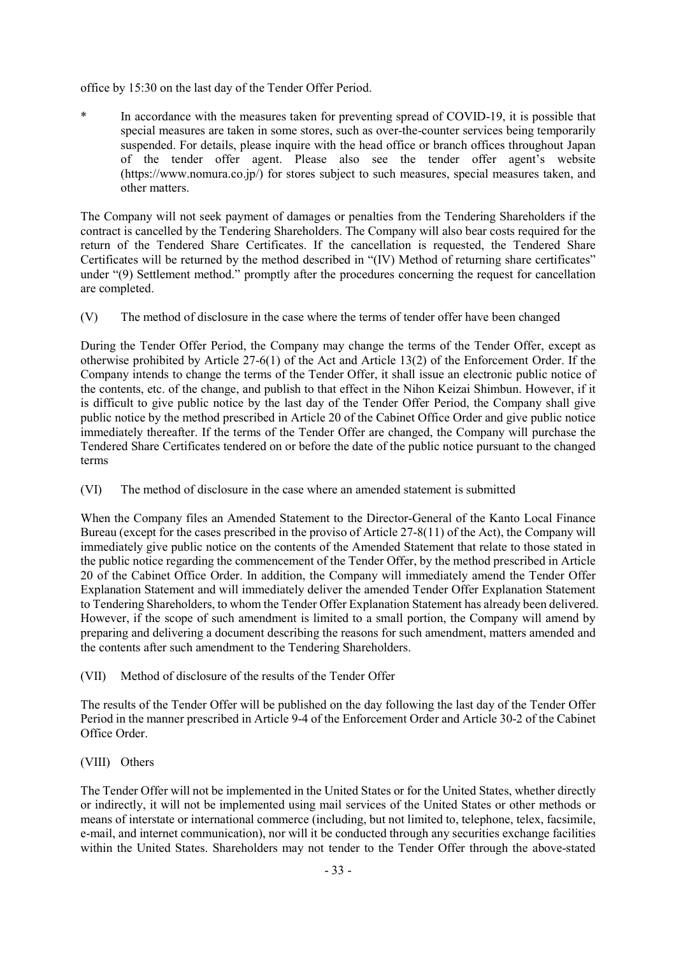office by 15:30 on the last day of the Tender Offer Period.

In accordance with the measures taken for preventing spread of COVID-19, it is possible that special measures are taken in some stores, such as over-the-counter services being temporarily suspended. For details, please inquire with the head office or branch offices throughout Japan of the tender offer agent. Please also see the tender offer agent's website (https://www.nomura.co.jp/) for stores subject to such measures, special measures taken, and other matters.

The Company will not seek payment of damages or penalties from the Tendering Shareholders if the contract is cancelled by the Tendering Shareholders. The Company will also bear costs required for the return of the Tendered Share Certificates. If the cancellation is requested, the Tendered Share Certificates will be returned by the method described in "(IV) Method of returning share certificates" under "(9) Settlement method." promptly after the procedures concerning the request for cancellation are completed.

(V) The method of disclosure in the case where the terms of tender offer have been changed

During the Tender Offer Period, the Company may change the terms of the Tender Offer, except as otherwise prohibited by Article 27-6(1) of the Act and Article 13(2) of the Enforcement Order. If the Company intends to change the terms of the Tender Offer, it shall issue an electronic public notice of the contents, etc. of the change, and publish to that effect in the Nihon Keizai Shimbun. However, if it is difficult to give public notice by the last day of the Tender Offer Period, the Company shall give public notice by the method prescribed in Article 20 of the Cabinet Office Order and give public notice immediately thereafter. If the terms of the Tender Offer are changed, the Company will purchase the Tendered Share Certificates tendered on or before the date of the public notice pursuant to the changed terms

(VI) The method of disclosure in the case where an amended statement is submitted

When the Company files an Amended Statement to the Director-General of the Kanto Local Finance Bureau (except for the cases prescribed in the proviso of Article 27-8(11) of the Act), the Company will immediately give public notice on the contents of the Amended Statement that relate to those stated in the public notice regarding the commencement of the Tender Offer, by the method prescribed in Article 20 of the Cabinet Office Order. In addition, the Company will immediately amend the Tender Offer Explanation Statement and will immediately deliver the amended Tender Offer Explanation Statement to Tendering Shareholders, to whom the Tender Offer Explanation Statement has already been delivered. However, if the scope of such amendment is limited to a small portion, the Company will amend by preparing and delivering a document describing the reasons for such amendment, matters amended and the contents after such amendment to the Tendering Shareholders.

# (VII) Method of disclosure of the results of the Tender Offer

The results of the Tender Offer will be published on the day following the last day of the Tender Offer Period in the manner prescribed in Article 9-4 of the Enforcement Order and Article 30-2 of the Cabinet Office Order.

# (VIII) Others

The Tender Offer will not be implemented in the United States or for the United States, whether directly or indirectly, it will not be implemented using mail services of the United States or other methods or means of interstate or international commerce (including, but not limited to, telephone, telex, facsimile, e-mail, and internet communication), nor will it be conducted through any securities exchange facilities within the United States. Shareholders may not tender to the Tender Offer through the above-stated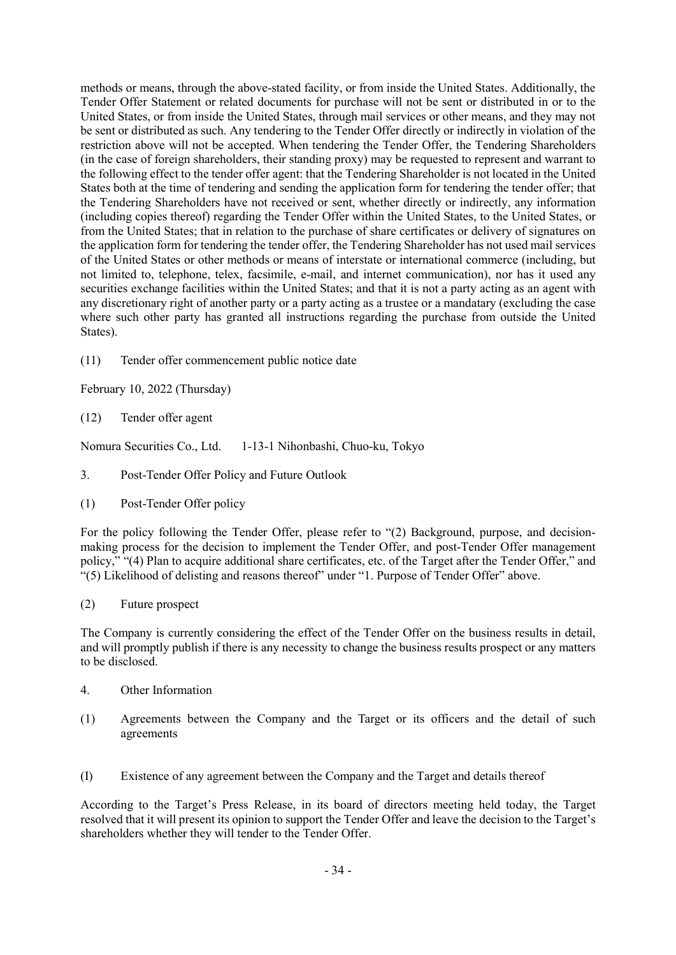methods or means, through the above-stated facility, or from inside the United States. Additionally, the Tender Offer Statement or related documents for purchase will not be sent or distributed in or to the United States, or from inside the United States, through mail services or other means, and they may not be sent or distributed as such. Any tendering to the Tender Offer directly or indirectly in violation of the restriction above will not be accepted. When tendering the Tender Offer, the Tendering Shareholders (in the case of foreign shareholders, their standing proxy) may be requested to represent and warrant to the following effect to the tender offer agent: that the Tendering Shareholder is not located in the United States both at the time of tendering and sending the application form for tendering the tender offer; that the Tendering Shareholders have not received or sent, whether directly or indirectly, any information (including copies thereof) regarding the Tender Offer within the United States, to the United States, or from the United States; that in relation to the purchase of share certificates or delivery of signatures on the application form for tendering the tender offer, the Tendering Shareholder has not used mail services of the United States or other methods or means of interstate or international commerce (including, but not limited to, telephone, telex, facsimile, e-mail, and internet communication), nor has it used any securities exchange facilities within the United States; and that it is not a party acting as an agent with any discretionary right of another party or a party acting as a trustee or a mandatary (excluding the case where such other party has granted all instructions regarding the purchase from outside the United States).

(11) Tender offer commencement public notice date

February 10, 2022 (Thursday)

(12) Tender offer agent

Nomura Securities Co., Ltd. 1-13-1 Nihonbashi, Chuo-ku, Tokyo

- 3. Post-Tender Offer Policy and Future Outlook
- (1) Post-Tender Offer policy

For the policy following the Tender Offer, please refer to "(2) Background, purpose, and decisionmaking process for the decision to implement the Tender Offer, and post-Tender Offer management policy," "(4) Plan to acquire additional share certificates, etc. of the Target after the Tender Offer," and "(5) Likelihood of delisting and reasons thereof" under "1. Purpose of Tender Offer" above.

(2) Future prospect

The Company is currently considering the effect of the Tender Offer on the business results in detail, and will promptly publish if there is any necessity to change the business results prospect or any matters to be disclosed.

- 4. Other Information
- (1) Agreements between the Company and the Target or its officers and the detail of such agreements
- (I) Existence of any agreement between the Company and the Target and details thereof

According to the Target's Press Release, in its board of directors meeting held today, the Target resolved that it will present its opinion to support the Tender Offer and leave the decision to the Target's shareholders whether they will tender to the Tender Offer.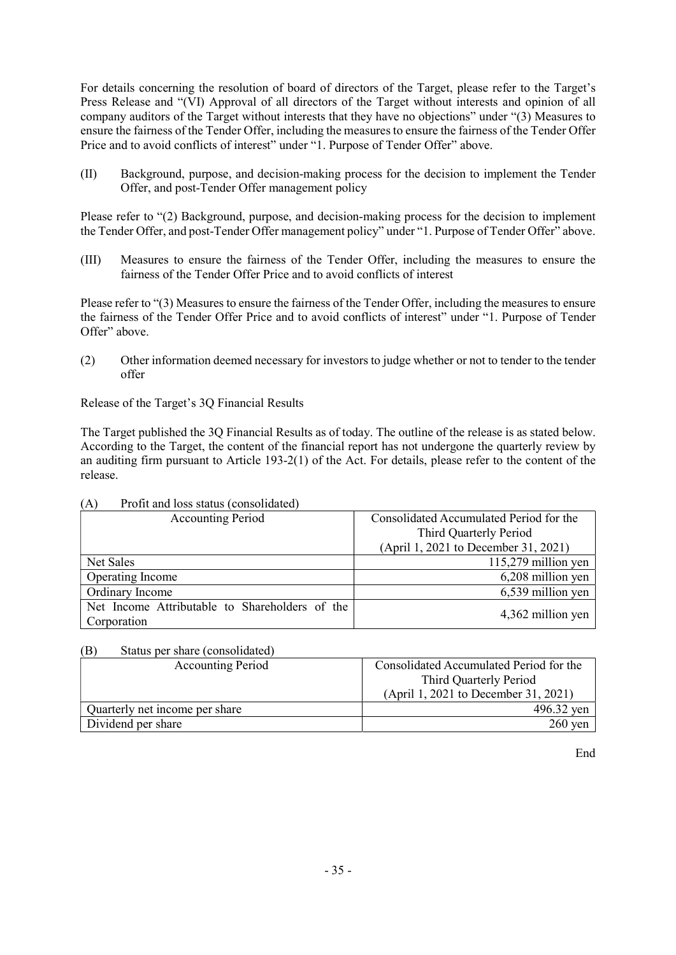For details concerning the resolution of board of directors of the Target, please refer to the Target's Press Release and "(VI) Approval of all directors of the Target without interests and opinion of all company auditors of the Target without interests that they have no objections" under "(3) Measures to ensure the fairness of the Tender Offer, including the measures to ensure the fairness of the Tender Offer Price and to avoid conflicts of interest" under "1. Purpose of Tender Offer" above.

(II) Background, purpose, and decision-making process for the decision to implement the Tender Offer, and post-Tender Offer management policy

Please refer to "(2) Background, purpose, and decision-making process for the decision to implement the Tender Offer, and post-Tender Offer management policy" under "1. Purpose of Tender Offer" above.

(III) Measures to ensure the fairness of the Tender Offer, including the measures to ensure the fairness of the Tender Offer Price and to avoid conflicts of interest

Please refer to "(3) Measures to ensure the fairness of the Tender Offer, including the measures to ensure the fairness of the Tender Offer Price and to avoid conflicts of interest" under "1. Purpose of Tender Offer" above.

(2) Other information deemed necessary for investors to judge whether or not to tender to the tender offer

Release of the Target's 3Q Financial Results

The Target published the 3Q Financial Results as of today. The outline of the release is as stated below. According to the Target, the content of the financial report has not undergone the quarterly review by an auditing firm pursuant to Article 193-2(1) of the Act. For details, please refer to the content of the release.

| Consolidated Accumulated Period for the |
|-----------------------------------------|
| Third Quarterly Period                  |
| (April 1, 2021 to December 31, 2021)    |
| $115,279$ million yen                   |
| 6,208 million yen                       |
| 6,539 million yen                       |
| 4,362 million yen                       |
|                                         |

# (A) Profit and loss status (consolidated)

# (B) Status per share (consolidated)

| <b>Accounting Period</b>       | Consolidated Accumulated Period for the |
|--------------------------------|-----------------------------------------|
|                                | Third Quarterly Period                  |
|                                | (April 1, 2021 to December 31, 2021)    |
| Ouarterly net income per share | 496.32 yen                              |
| Dividend per share             | $260$ yen                               |

**End**